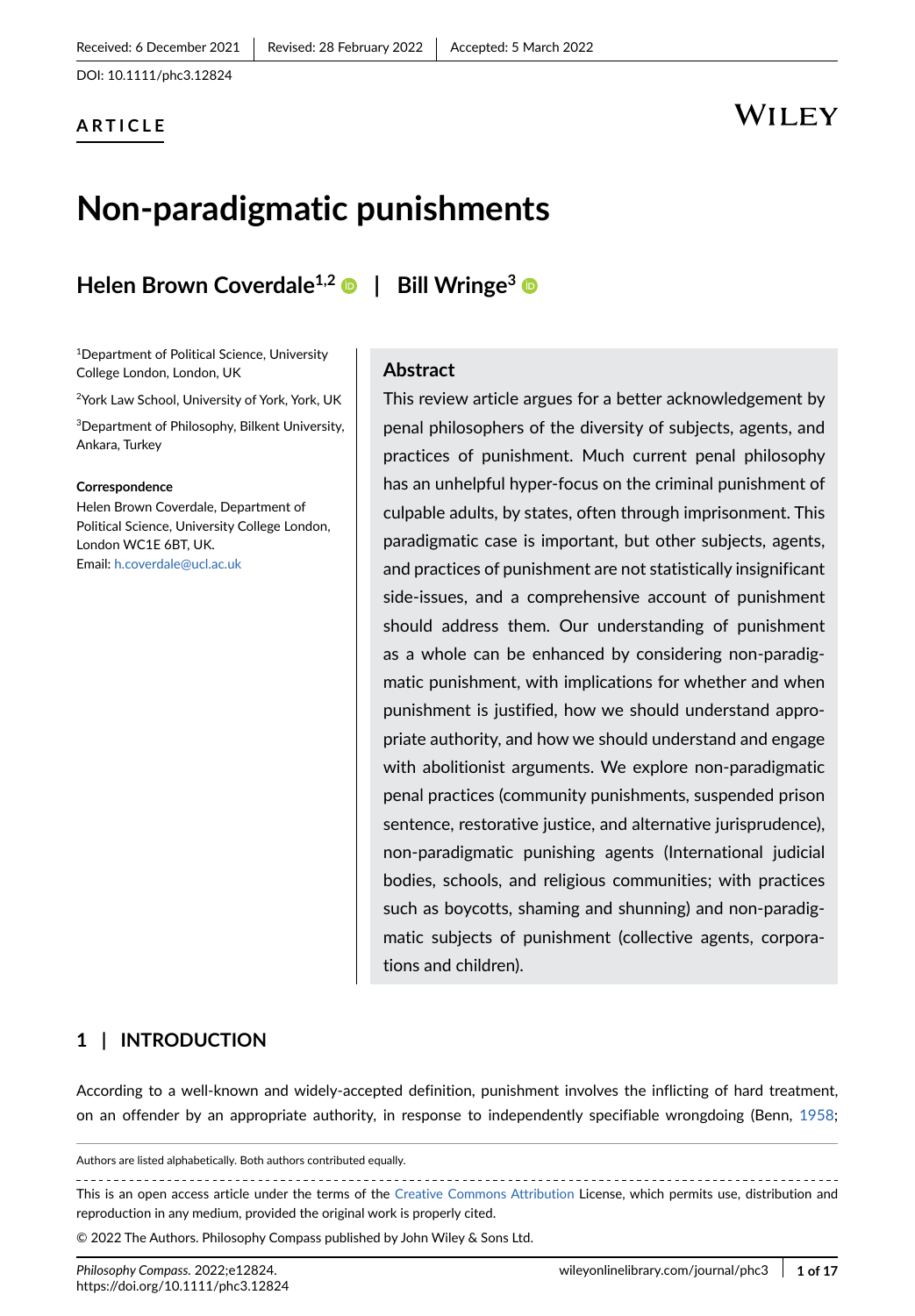DOI: 10.1111/phc3.12824

### **ARTICLE**

### WILEY

# **Non-paradigmatic punishments**

### **Helen Brown Coverdale1,2 | Bill Wringe<sup>3</sup>**

1Department of Political Science, University College London, London, UK

2York Law School, University of York, York, UK

3Department of Philosophy, Bilkent University, Ankara, Turkey

#### **Correspondence**

Helen Brown Coverdale, Department of Political Science, University College London, London WC1E 6BT, UK. Email: h.coverdale@ucl.ac.uk

### **Abstract**

This review article argues for a better acknowledgement by penal philosophers of the diversity of subjects, agents, and practices of punishment. Much current penal philosophy has an unhelpful hyper-focus on the criminal punishment of culpable adults, by states, often through imprisonment. This paradigmatic case is important, but other subjects, agents, and practices of punishment are not statistically insignificant side-issues, and a comprehensive account of punishment should address them. Our understanding of punishment as a whole can be enhanced by considering non-paradigmatic punishment, with implications for whether and when punishment is justified, how we should understand appropriate authority, and how we should understand and engage with abolitionist arguments. We explore non-paradigmatic penal practices (community punishments, suspended prison sentence, restorative justice, and alternative jurisprudence), non-paradigmatic punishing agents (International judicial bodies, schools, and religious communities; with practices such as boycotts, shaming and shunning) and non-paradigmatic subjects of punishment (collective agents, corporations and children).

#### **1 | INTRODUCTION**

According to a well-known and widely-accepted definition, punishment involves the inflicting of hard treatment, on an offender by an appropriate authority, in response to independently specifiable wrongdoing (Benn, [1958](#page-12-0);

Authors are listed alphabetically. Both authors contributed equally.

This is an open access article under the terms of the [Creative Commons Attribution](http://creativecommons.org/licenses/by/4.0/) License, which permits use, distribution and reproduction in any medium, provided the original work is properly cited.

© 2022 The Authors. Philosophy Compass published by John Wiley & Sons Ltd.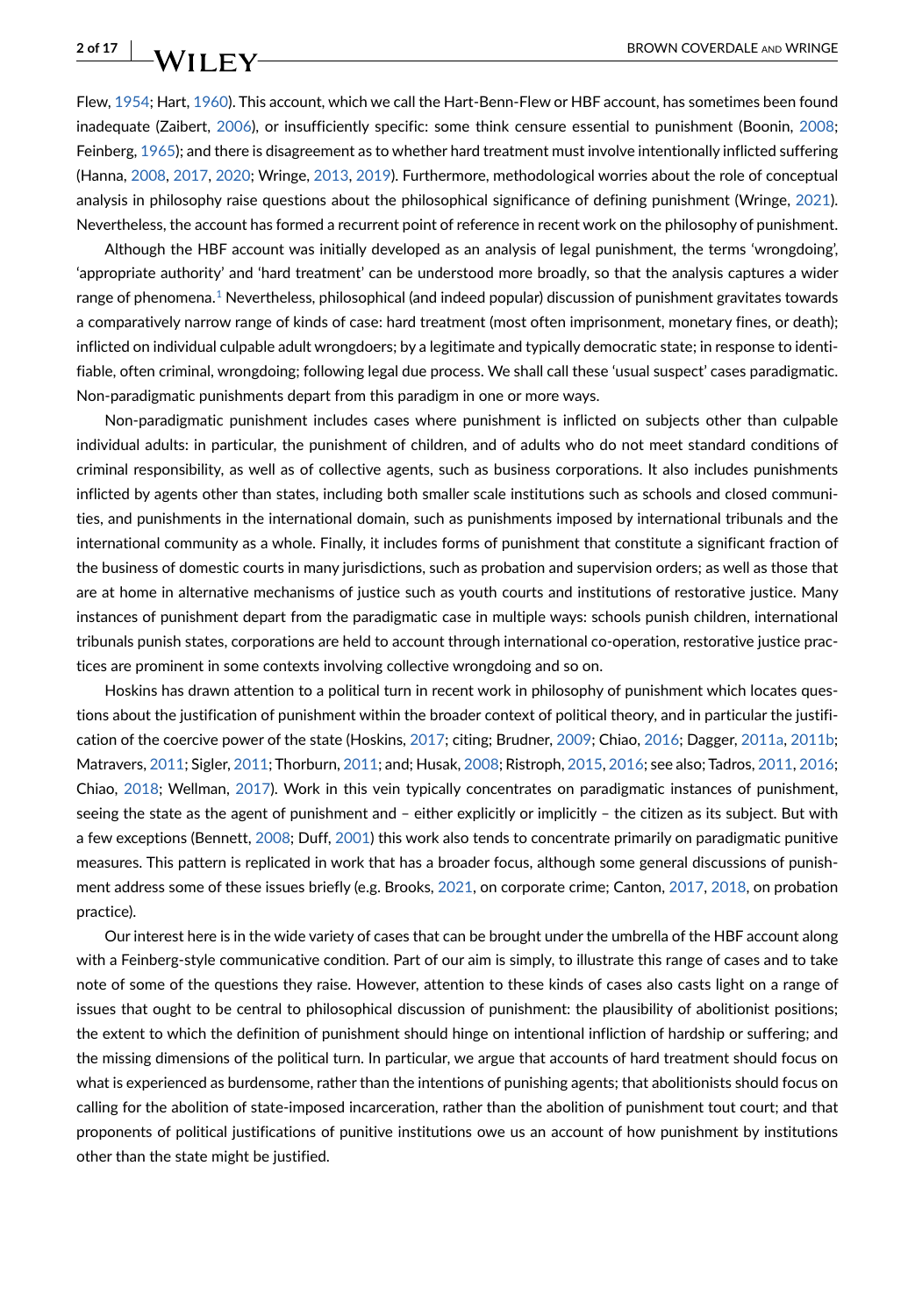Flew, [1954](#page-13-0); Hart, [1960](#page-13-1)). This account, which we call the Hart-Benn-Flew or HBF account, has sometimes been found inadequate (Zaibert, [2006](#page-15-0)), or insufficiently specific: some think censure essential to punishment (Boonin, [2008](#page-12-1); Feinberg, [1965](#page-13-2)); and there is disagreement as to whether hard treatment must involve intentionally inflicted suffering (Hanna, [2008,](#page-13-3) [2017](#page-13-4), [2020;](#page-13-5) Wringe, [2013,](#page-15-1) [2019](#page-15-2)). Furthermore, methodological worries about the role of conceptual analysis in philosophy raise questions about the philosophical significance of defining punishment (Wringe, [2021](#page-15-3)). Nevertheless, the account has formed a recurrent point of reference in recent work on the philosophy of punishment.

Although the HBF account was initially developed as an analysis of legal punishment, the terms 'wrongdoing', 'appropriate authority' and 'hard treatment' can be understood more broadly, so that the analysis captures a wider range of phenomena.[1](#page-12-2) Nevertheless, philosophical (and indeed popular) discussion of punishment gravitates towards a comparatively narrow range of kinds of case: hard treatment (most often imprisonment, monetary fines, or death); inflicted on individual culpable adult wrongdoers; by a legitimate and typically democratic state; in response to identifiable, often criminal, wrongdoing; following legal due process. We shall call these 'usual suspect' cases paradigmatic. Non-paradigmatic punishments depart from this paradigm in one or more ways.

Non-paradigmatic punishment includes cases where punishment is inflicted on subjects other than culpable individual adults: in particular, the punishment of children, and of adults who do not meet standard conditions of criminal responsibility, as well as of collective agents, such as business corporations. It also includes punishments inflicted by agents other than states, including both smaller scale institutions such as schools and closed communities, and punishments in the international domain, such as punishments imposed by international tribunals and the international community as a whole. Finally, it includes forms of punishment that constitute a significant fraction of the business of domestic courts in many jurisdictions, such as probation and supervision orders; as well as those that are at home in alternative mechanisms of justice such as youth courts and institutions of restorative justice. Many instances of punishment depart from the paradigmatic case in multiple ways: schools punish children, international tribunals punish states, corporations are held to account through international co-operation, restorative justice practices are prominent in some contexts involving collective wrongdoing and so on.

Hoskins has drawn attention to a political turn in recent work in philosophy of punishment which locates questions about the justification of punishment within the broader context of political theory, and in particular the justification of the coercive power of the state (Hoskins, [2017;](#page-13-6) citing; Brudner, [2009](#page-12-3); Chiao, [2016](#page-12-4); Dagger, [2011a](#page-12-5), [2011b](#page-12-6); Matravers, [2011;](#page-14-0) Sigler, [2011](#page-15-4); Thorburn, [2011](#page-15-5); and; Husak, [2008](#page-13-7); Ristroph, [2015](#page-14-1), [2016](#page-14-2); see also; Tadros, [2011](#page-15-6), [2016](#page-15-7); Chiao, [2018](#page-12-7); Wellman, [2017](#page-15-8)). Work in this vein typically concentrates on paradigmatic instances of punishment, seeing the state as the agent of punishment and – either explicitly or implicitly – the citizen as its subject. But with a few exceptions (Bennett, [2008;](#page-12-8) Duff, [2001](#page-13-8)) this work also tends to concentrate primarily on paradigmatic punitive measures. This pattern is replicated in work that has a broader focus, although some general discussions of punishment address some of these issues briefly (e.g. Brooks, [2021,](#page-12-9) on corporate crime; Canton, [2017](#page-12-10), [2018](#page-12-11), on probation practice).

Our interest here is in the wide variety of cases that can be brought under the umbrella of the HBF account along with a Feinberg-style communicative condition. Part of our aim is simply, to illustrate this range of cases and to take note of some of the questions they raise. However, attention to these kinds of cases also casts light on a range of issues that ought to be central to philosophical discussion of punishment: the plausibility of abolitionist positions; the extent to which the definition of punishment should hinge on intentional infliction of hardship or suffering; and the missing dimensions of the political turn. In particular, we argue that accounts of hard treatment should focus on what is experienced as burdensome, rather than the intentions of punishing agents; that abolitionists should focus on calling for the abolition of state-imposed incarceration, rather than the abolition of punishment tout court; and that proponents of political justifications of punitive institutions owe us an account of how punishment by institutions other than the state might be justified.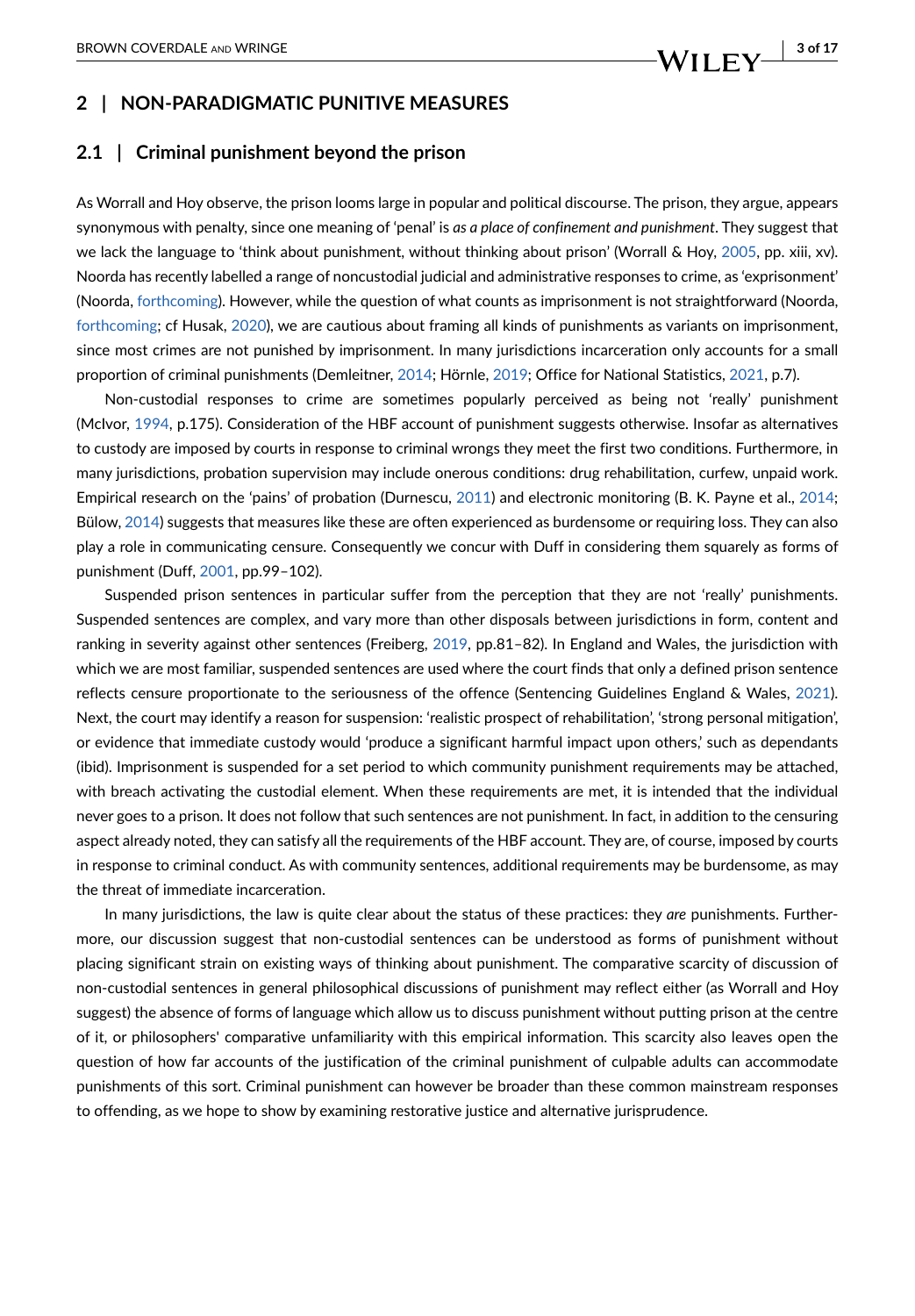### <span id="page-2-0"></span>**2 | NON-PARADIGMATIC PUNITIVE MEASURES**

#### **2.1 | Criminal punishment beyond the prison**

As Worrall and Hoy observe, the prison looms large in popular and political discourse. The prison, they argue, appears synonymous with penalty, since one meaning of 'penal' is *as a place of confinement and punishment*. They suggest that we lack the language to 'think about punishment, without thinking about prison' (Worrall & Hoy, [2005](#page-15-9), pp. xiii, xv). Noorda has recently labelled a range of noncustodial judicial and administrative responses to crime, as 'exprisonment' (Noorda, [forthcoming\)](#page-14-3). However, while the question of what counts as imprisonment is not straightforward (Noorda, [forthcoming](#page-14-3); cf Husak, [2020](#page-14-4)), we are cautious about framing all kinds of punishments as variants on imprisonment, since most crimes are not punished by imprisonment. In many jurisdictions incarceration only accounts for a small proportion of criminal punishments (Demleitner, [2014](#page-13-9); Hörnle, [2019;](#page-13-10) Office for National Statistics, [2021](#page-14-5), p.7).

Non-custodial responses to crime are sometimes popularly perceived as being not 'really' punishment (McIvor, [1994](#page-14-6), p.175). Consideration of the HBF account of punishment suggests otherwise. Insofar as alternatives to custody are imposed by courts in response to criminal wrongs they meet the first two conditions. Furthermore, in many jurisdictions, probation supervision may include onerous conditions: drug rehabilitation, curfew, unpaid work. Empirical research on the 'pains' of probation (Durnescu, [2011](#page-13-11)) and electronic monitoring (B. K. Payne et al., [2014](#page-14-7); Bülow, [2014\)](#page-12-12) suggests that measures like these are often experienced as burdensome or requiring loss. They can also play a role in communicating censure. Consequently we concur with Duff in considering them squarely as forms of punishment (Duff, [2001](#page-13-8), pp.99–102).

Suspended prison sentences in particular suffer from the perception that they are not 'really' punishments. Suspended sentences are complex, and vary more than other disposals between jurisdictions in form, content and ranking in severity against other sentences (Freiberg, [2019,](#page-13-12) pp.81–82). In England and Wales, the jurisdiction with which we are most familiar, suspended sentences are used where the court finds that only a defined prison sentence reflects censure proportionate to the seriousness of the offence (Sentencing Guidelines England & Wales, [2021](#page-14-8)). Next, the court may identify a reason for suspension: 'realistic prospect of rehabilitation', 'strong personal mitigation', or evidence that immediate custody would 'produce a significant harmful impact upon others,' such as dependants (ibid). Imprisonment is suspended for a set period to which community punishment requirements may be attached, with breach activating the custodial element. When these requirements are met, it is intended that the individual never goes to a prison. It does not follow that such sentences are not punishment. In fact, in addition to the censuring aspect already noted, they can satisfy all the requirements of the HBF account. They are, of course, imposed by courts in response to criminal conduct. As with community sentences, additional requirements may be burdensome, as may the threat of immediate incarceration.

In many jurisdictions, the law is quite clear about the status of these practices: they *are* punishments. Furthermore, our discussion suggest that non-custodial sentences can be understood as forms of punishment without placing significant strain on existing ways of thinking about punishment. The comparative scarcity of discussion of non-custodial sentences in general philosophical discussions of punishment may reflect either (as Worrall and Hoy suggest) the absence of forms of language which allow us to discuss punishment without putting prison at the centre of it, or philosophers' comparative unfamiliarity with this empirical information. This scarcity also leaves open the question of how far accounts of the justification of the criminal punishment of culpable adults can accommodate punishments of this sort. Criminal punishment can however be broader than these common mainstream responses to offending, as we hope to show by examining restorative justice and alternative jurisprudence.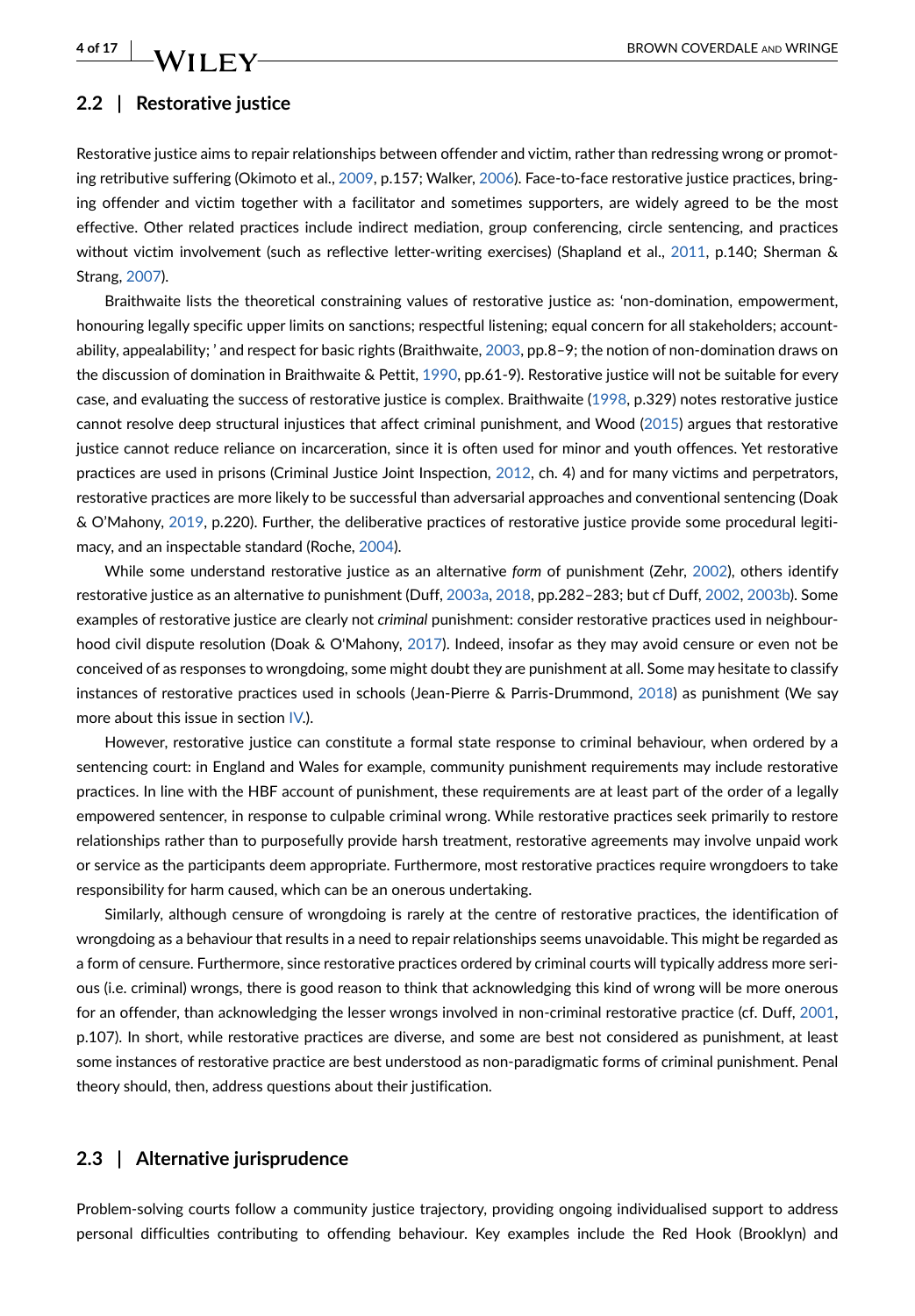### **2.2 | Restorative justice**

Restorative justice aims to repair relationships between offender and victim, rather than redressing wrong or promoting retributive suffering (Okimoto et al., [2009](#page-14-9), p.157; Walker, [2006](#page-15-10)). Face-to-face restorative justice practices, bringing offender and victim together with a facilitator and sometimes supporters, are widely agreed to be the most effective. Other related practices include indirect mediation, group conferencing, circle sentencing, and practices without victim involvement (such as reflective letter-writing exercises) (Shapland et al., [2011](#page-15-11), p.140; Sherman & Strang, [2007](#page-15-12)).

Braithwaite lists the theoretical constraining values of restorative justice as: 'non-domination, empowerment, honouring legally specific upper limits on sanctions; respectful listening; equal concern for all stakeholders; accountability, appealability; ' and respect for basic rights (Braithwaite, [2003,](#page-12-13) pp.8–9; the notion of non-domination draws on the discussion of domination in Braithwaite & Pettit, [1990](#page-12-14), pp.61-9). Restorative justice will not be suitable for every case, and evaluating the success of restorative justice is complex. Braithwaite ([1998](#page-12-15), p.329) notes restorative justice cannot resolve deep structural injustices that affect criminal punishment, and Wood ([2015](#page-15-13)) argues that restorative justice cannot reduce reliance on incarceration, since it is often used for minor and youth offences. Yet restorative practices are used in prisons (Criminal Justice Joint Inspection, [2012](#page-12-16), ch. 4) and for many victims and perpetrators, restorative practices are more likely to be successful than adversarial approaches and conventional sentencing (Doak & O'Mahony, [2019](#page-13-13), p.220). Further, the deliberative practices of restorative justice provide some procedural legitimacy, and an inspectable standard (Roche, [2004\)](#page-14-10).

While some understand restorative justice as an alternative *form* of punishment (Zehr, [2002\)](#page-15-14), others identify restorative justice as an alternative *to* punishment (Duff, [2003a](#page-13-14), [2018](#page-13-15), pp.282–283; but cf Duff, [2002](#page-13-16), [2003b\)](#page-13-17). Some examples of restorative justice are clearly not *criminal* punishment: consider restorative practices used in neighbourhood civil dispute resolution (Doak & O'Mahony, [2017](#page-13-18)). Indeed, insofar as they may avoid censure or even not be conceived of as responses to wrongdoing, some might doubt they are punishment at all. Some may hesitate to classify instances of restorative practices used in schools (Jean-Pierre & Parris-Drummond, [2018\)](#page-14-11) as punishment (We say more about this issue in section [IV](#page-8-0).).

However, restorative justice can constitute a formal state response to criminal behaviour, when ordered by a sentencing court: in England and Wales for example, community punishment requirements may include restorative practices. In line with the HBF account of punishment, these requirements are at least part of the order of a legally empowered sentencer, in response to culpable criminal wrong. While restorative practices seek primarily to restore relationships rather than to purposefully provide harsh treatment, restorative agreements may involve unpaid work or service as the participants deem appropriate. Furthermore, most restorative practices require wrongdoers to take responsibility for harm caused, which can be an onerous undertaking.

Similarly, although censure of wrongdoing is rarely at the centre of restorative practices, the identification of wrongdoing as a behaviour that results in a need to repair relationships seems unavoidable. This might be regarded as a form of censure. Furthermore, since restorative practices ordered by criminal courts will typically address more serious (i.e. criminal) wrongs, there is good reason to think that acknowledging this kind of wrong will be more onerous for an offender, than acknowledging the lesser wrongs involved in non-criminal restorative practice (cf. Duff, [2001](#page-13-8), p.107). In short, while restorative practices are diverse, and some are best not considered as punishment, at least some instances of restorative practice are best understood as non-paradigmatic forms of criminal punishment. Penal theory should, then, address questions about their justification.

### **2.3 | Alternative jurisprudence**

Problem-solving courts follow a community justice trajectory, providing ongoing individualised support to address personal difficulties contributing to offending behaviour. Key examples include the Red Hook (Brooklyn) and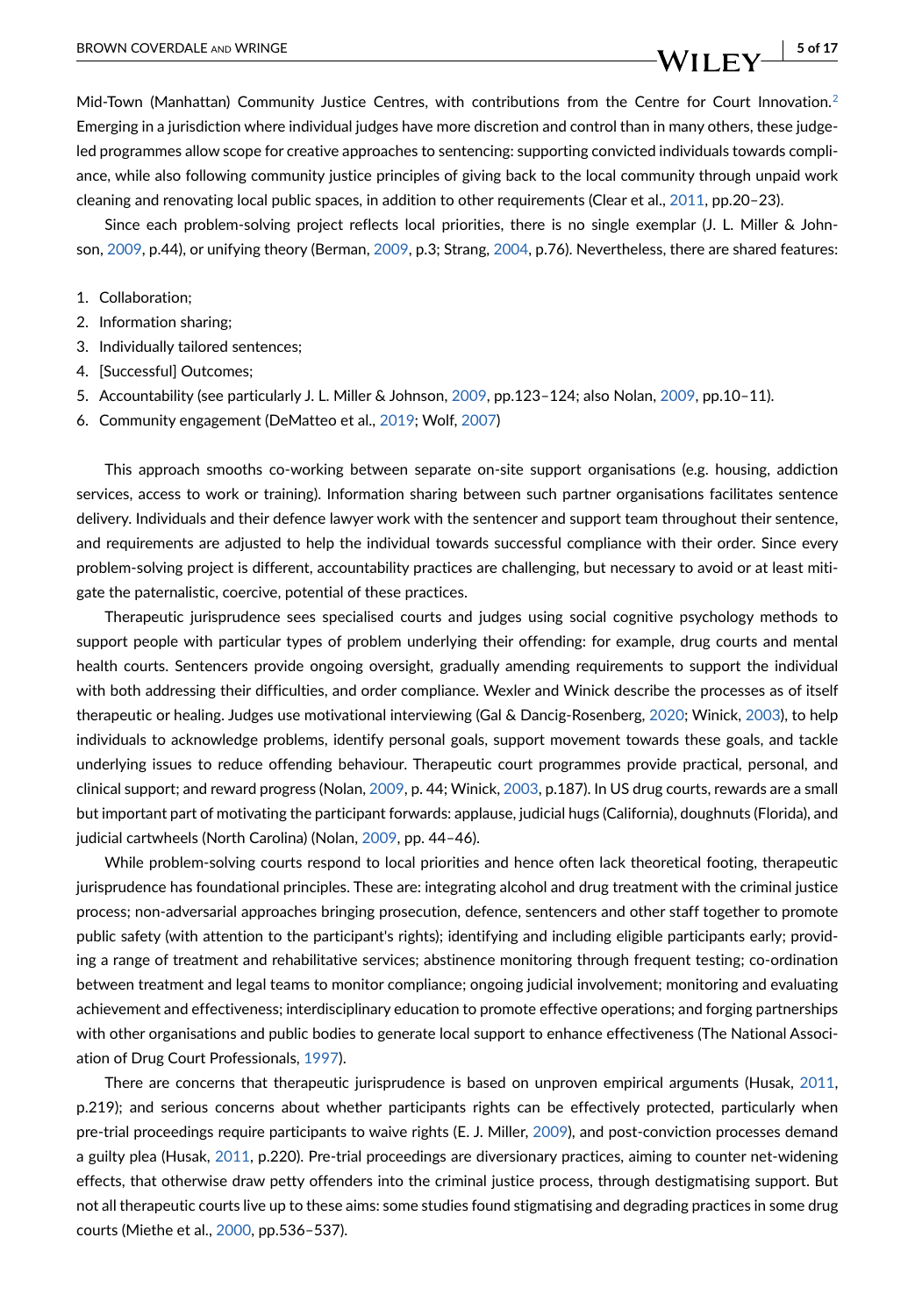BROWN COVERDALE AND WRINGE **1999 WEINGE 5 of 17** 

Mid-Town (Manhattan) Community Justice Centres, with contributions from the Centre for Court Innovation.<sup>2</sup> Emerging in a jurisdiction where individual judges have more discretion and control than in many others, these judgeled programmes allow scope for creative approaches to sentencing: supporting convicted individuals towards compliance, while also following community justice principles of giving back to the local community through unpaid work cleaning and renovating local public spaces, in addition to other requirements (Clear et al., [2011](#page-12-18), pp.20–23).

Since each problem-solving project reflects local priorities, there is no single exemplar (J. L. Miller & Johnson, [2009](#page-14-12), p.44), or unifying theory (Berman, [2009,](#page-12-19) p.3; Strang, [2004](#page-15-15), p.76). Nevertheless, there are shared features:

- 1. Collaboration;
- 2. Information sharing;
- 3. Individually tailored sentences;
- 4. [Successful] Outcomes;
- 5. Accountability (see particularly J. L. Miller & Johnson, [2009,](#page-14-12) pp.123–124; also Nolan, [2009](#page-14-13), pp.10–11).
- 6. Community engagement (DeMatteo et al., [2019;](#page-13-19) Wolf, [2007](#page-15-16))

This approach smooths co-working between separate on-site support organisations (e.g. housing, addiction services, access to work or training). Information sharing between such partner organisations facilitates sentence delivery. Individuals and their defence lawyer work with the sentencer and support team throughout their sentence, and requirements are adjusted to help the individual towards successful compliance with their order. Since every problem-solving project is different, accountability practices are challenging, but necessary to avoid or at least mitigate the paternalistic, coercive, potential of these practices.

Therapeutic jurisprudence sees specialised courts and judges using social cognitive psychology methods to support people with particular types of problem underlying their offending: for example, drug courts and mental health courts. Sentencers provide ongoing oversight, gradually amending requirements to support the individual with both addressing their difficulties, and order compliance. Wexler and Winick describe the processes as of itself therapeutic or healing. Judges use motivational interviewing (Gal & Dancig-Rosenberg, [2020;](#page-13-20) Winick, [2003\)](#page-15-17), to help individuals to acknowledge problems, identify personal goals, support movement towards these goals, and tackle underlying issues to reduce offending behaviour. Therapeutic court programmes provide practical, personal, and clinical support; and reward progress (Nolan, [2009](#page-14-13), p. 44; Winick, [2003](#page-15-17), p.187). In US drug courts, rewards are a small but important part of motivating the participant forwards: applause, judicial hugs (California), doughnuts (Florida), and judicial cartwheels (North Carolina) (Nolan, [2009](#page-14-13), pp. 44–46).

While problem-solving courts respond to local priorities and hence often lack theoretical footing, therapeutic jurisprudence has foundational principles. These are: integrating alcohol and drug treatment with the criminal justice process; non-adversarial approaches bringing prosecution, defence, sentencers and other staff together to promote public safety (with attention to the participant's rights); identifying and including eligible participants early; providing a range of treatment and rehabilitative services; abstinence monitoring through frequent testing; co-ordination between treatment and legal teams to monitor compliance; ongoing judicial involvement; monitoring and evaluating achievement and effectiveness; interdisciplinary education to promote effective operations; and forging partnerships with other organisations and public bodies to generate local support to enhance effectiveness (The National Association of Drug Court Professionals, [1997\)](#page-15-18).

There are concerns that therapeutic jurisprudence is based on unproven empirical arguments (Husak, [2011](#page-13-21), p.219); and serious concerns about whether participants rights can be effectively protected, particularly when pre-trial proceedings require participants to waive rights (E. J. Miller, [2009\)](#page-14-14), and post-conviction processes demand a guilty plea (Husak, [2011,](#page-13-21) p.220). Pre-trial proceedings are diversionary practices, aiming to counter net-widening effects, that otherwise draw petty offenders into the criminal justice process, through destigmatising support. But not all therapeutic courts live up to these aims: some studies found stigmatising and degrading practices in some drug courts (Miethe et al., [2000](#page-14-15), pp.536–537).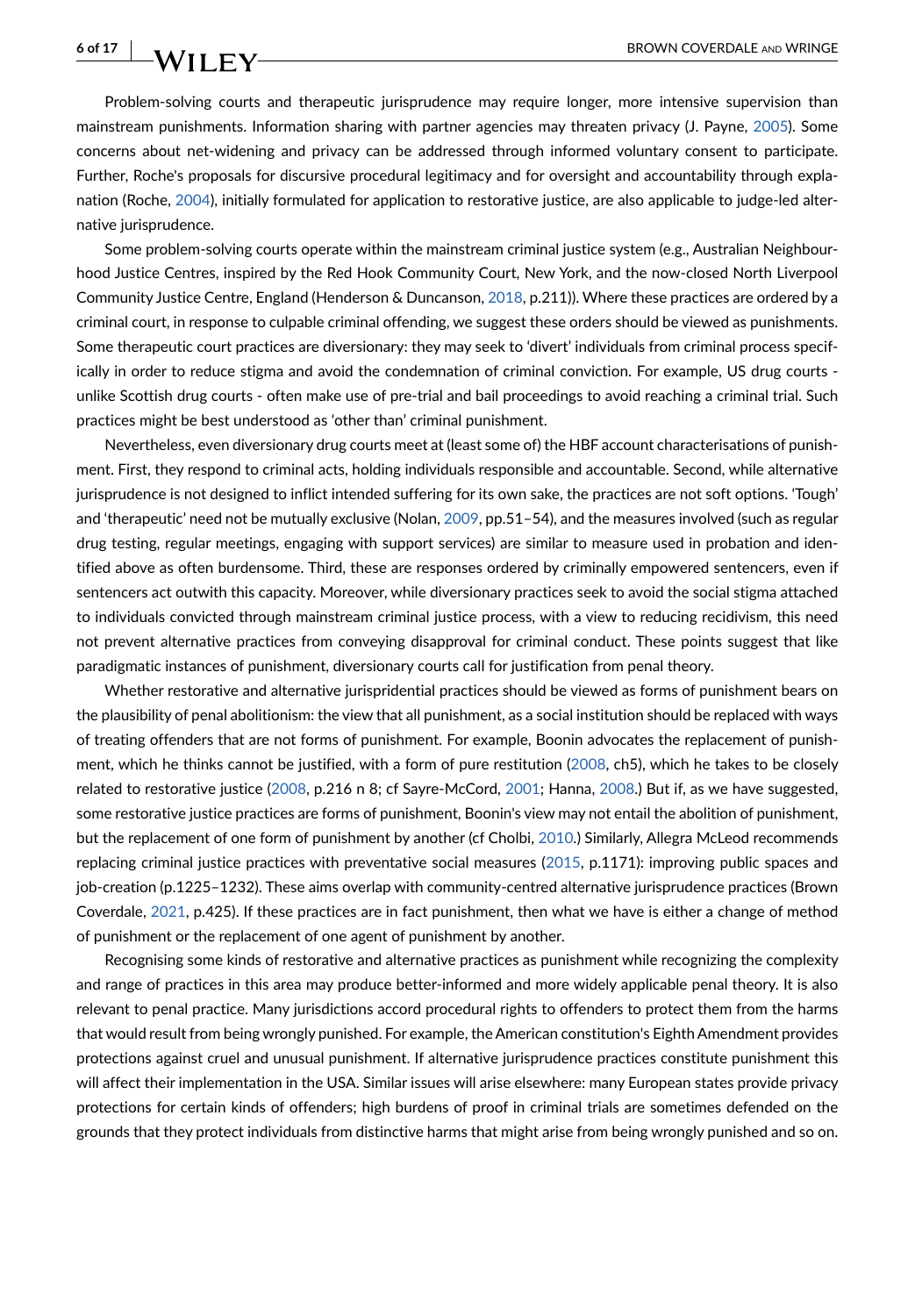Problem-solving courts and therapeutic jurisprudence may require longer, more intensive supervision than mainstream punishments. Information sharing with partner agencies may threaten privacy (J. Payne, [2005](#page-14-16)). Some concerns about net-widening and privacy can be addressed through informed voluntary consent to participate. Further, Roche's proposals for discursive procedural legitimacy and for oversight and accountability through explanation (Roche, [2004](#page-14-10)), initially formulated for application to restorative justice, are also applicable to judge-led alternative jurisprudence.

Some problem-solving courts operate within the mainstream criminal justice system (e.g., Australian Neighbourhood Justice Centres, inspired by the Red Hook Community Court, New York, and the now-closed North Liverpool Community Justice Centre, England (Henderson & Duncanson, [2018](#page-13-22), p.211)). Where these practices are ordered by a criminal court, in response to culpable criminal offending, we suggest these orders should be viewed as punishments. Some therapeutic court practices are diversionary: they may seek to 'divert' individuals from criminal process specifically in order to reduce stigma and avoid the condemnation of criminal conviction. For example, US drug courts unlike Scottish drug courts - often make use of pre-trial and bail proceedings to avoid reaching a criminal trial. Such practices might be best understood as 'other than' criminal punishment.

Nevertheless, even diversionary drug courts meet at (least some of) the HBF account characterisations of punishment. First, they respond to criminal acts, holding individuals responsible and accountable. Second, while alternative jurisprudence is not designed to inflict intended suffering for its own sake, the practices are not soft options. 'Tough' and 'therapeutic' need not be mutually exclusive (Nolan, [2009](#page-14-13), pp.51–54), and the measures involved (such as regular drug testing, regular meetings, engaging with support services) are similar to measure used in probation and identified above as often burdensome. Third, these are responses ordered by criminally empowered sentencers, even if sentencers act outwith this capacity. Moreover, while diversionary practices seek to avoid the social stigma attached to individuals convicted through mainstream criminal justice process, with a view to reducing recidivism, this need not prevent alternative practices from conveying disapproval for criminal conduct. These points suggest that like paradigmatic instances of punishment, diversionary courts call for justification from penal theory.

Whether restorative and alternative jurispridential practices should be viewed as forms of punishment bears on the plausibility of penal abolitionism: the view that all punishment, as a social institution should be replaced with ways of treating offenders that are not forms of punishment. For example, Boonin advocates the replacement of punishment, which he thinks cannot be justified, with a form of pure restitution [\(2008](#page-12-1), ch5), which he takes to be closely related to restorative justice ([2008](#page-12-1), p.216 n 8; cf Sayre-McCord, [2001](#page-14-17); Hanna, [2008](#page-13-3).) But if, as we have suggested, some restorative justice practices are forms of punishment, Boonin's view may not entail the abolition of punishment, but the replacement of one form of punishment by another (cf Cholbi, [2010.](#page-12-20)) Similarly, Allegra McLeod recommends replacing criminal justice practices with preventative social measures ([2015](#page-14-18), p.1171): improving public spaces and job-creation (p.1225–1232). These aims overlap with community-centred alternative jurisprudence practices (Brown Coverdale, [2021](#page-12-21), p.425). If these practices are in fact punishment, then what we have is either a change of method of punishment or the replacement of one agent of punishment by another.

Recognising some kinds of restorative and alternative practices as punishment while recognizing the complexity and range of practices in this area may produce better-informed and more widely applicable penal theory. It is also relevant to penal practice. Many jurisdictions accord procedural rights to offenders to protect them from the harms that would result from being wrongly punished. For example, the American constitution's Eighth Amendment provides protections against cruel and unusual punishment. If alternative jurisprudence practices constitute punishment this will affect their implementation in the USA. Similar issues will arise elsewhere: many European states provide privacy protections for certain kinds of offenders; high burdens of proof in criminal trials are sometimes defended on the grounds that they protect individuals from distinctive harms that might arise from being wrongly punished and so on.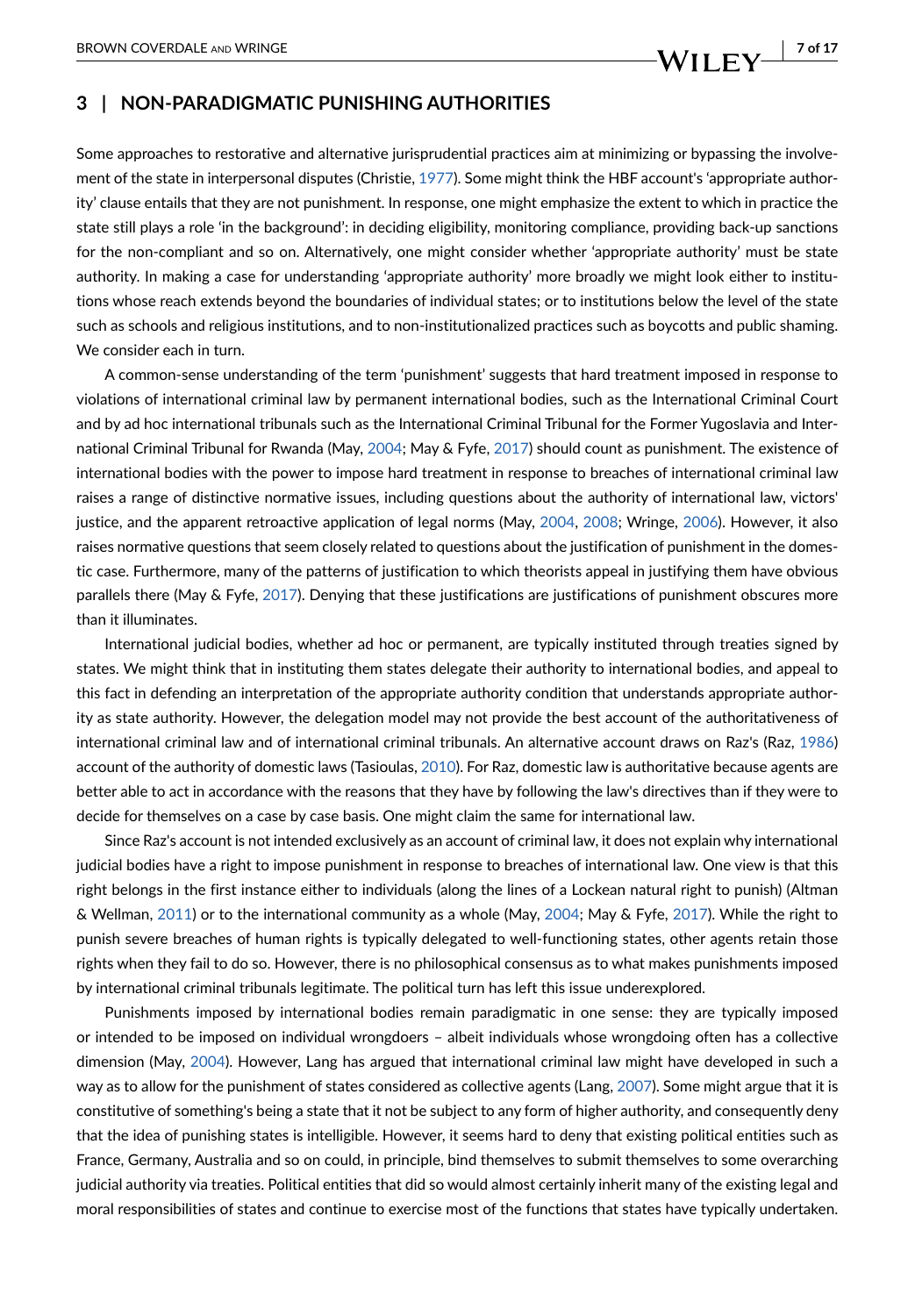### **3 | NON-PARADIGMATIC PUNISHING AUTHORITIES**

Some approaches to restorative and alternative jurisprudential practices aim at minimizing or bypassing the involvement of the state in interpersonal disputes (Christie, [1977](#page-12-22)). Some might think the HBF account's 'appropriate authority' clause entails that they are not punishment. In response, one might emphasize the extent to which in practice the state still plays a role 'in the background': in deciding eligibility, monitoring compliance, providing back-up sanctions for the non-compliant and so on. Alternatively, one might consider whether 'appropriate authority' must be state authority. In making a case for understanding 'appropriate authority' more broadly we might look either to institutions whose reach extends beyond the boundaries of individual states; or to institutions below the level of the state such as schools and religious institutions, and to non-institutionalized practices such as boycotts and public shaming. We consider each in turn.

A common-sense understanding of the term 'punishment' suggests that hard treatment imposed in response to violations of international criminal law by permanent international bodies, such as the International Criminal Court and by ad hoc international tribunals such as the International Criminal Tribunal for the Former Yugoslavia and International Criminal Tribunal for Rwanda (May, [2004](#page-14-19); May & Fyfe, [2017](#page-14-20)) should count as punishment. The existence of international bodies with the power to impose hard treatment in response to breaches of international criminal law raises a range of distinctive normative issues, including questions about the authority of international law, victors' justice, and the apparent retroactive application of legal norms (May, [2004,](#page-14-19) [2008;](#page-14-21) Wringe, [2006\)](#page-15-19). However, it also raises normative questions that seem closely related to questions about the justification of punishment in the domestic case. Furthermore, many of the patterns of justification to which theorists appeal in justifying them have obvious parallels there (May & Fyfe, [2017\)](#page-14-20). Denying that these justifications are justifications of punishment obscures more than it illuminates.

International judicial bodies, whether ad hoc or permanent, are typically instituted through treaties signed by states. We might think that in instituting them states delegate their authority to international bodies, and appeal to this fact in defending an interpretation of the appropriate authority condition that understands appropriate authority as state authority. However, the delegation model may not provide the best account of the authoritativeness of international criminal law and of international criminal tribunals. An alternative account draws on Raz's (Raz, [1986](#page-14-22)) account of the authority of domestic laws (Tasioulas, [2010](#page-15-20)). For Raz, domestic law is authoritative because agents are better able to act in accordance with the reasons that they have by following the law's directives than if they were to decide for themselves on a case by case basis. One might claim the same for international law.

Since Raz's account is not intended exclusively as an account of criminal law, it does not explain why international judicial bodies have a right to impose punishment in response to breaches of international law. One view is that this right belongs in the first instance either to individuals (along the lines of a Lockean natural right to punish) (Altman & Wellman, [2011\)](#page-12-23) or to the international community as a whole (May, [2004](#page-14-19); May & Fyfe, [2017](#page-14-20)). While the right to punish severe breaches of human rights is typically delegated to well-functioning states, other agents retain those rights when they fail to do so. However, there is no philosophical consensus as to what makes punishments imposed by international criminal tribunals legitimate. The political turn has left this issue underexplored.

Punishments imposed by international bodies remain paradigmatic in one sense: they are typically imposed or intended to be imposed on individual wrongdoers – albeit individuals whose wrongdoing often has a collective dimension (May, [2004](#page-14-19)). However, Lang has argued that international criminal law might have developed in such a way as to allow for the punishment of states considered as collective agents (Lang, [2007\)](#page-14-23). Some might argue that it is constitutive of something's being a state that it not be subject to any form of higher authority, and consequently deny that the idea of punishing states is intelligible. However, it seems hard to deny that existing political entities such as France, Germany, Australia and so on could, in principle, bind themselves to submit themselves to some overarching judicial authority via treaties. Political entities that did so would almost certainly inherit many of the existing legal and moral responsibilities of states and continue to exercise most of the functions that states have typically undertaken.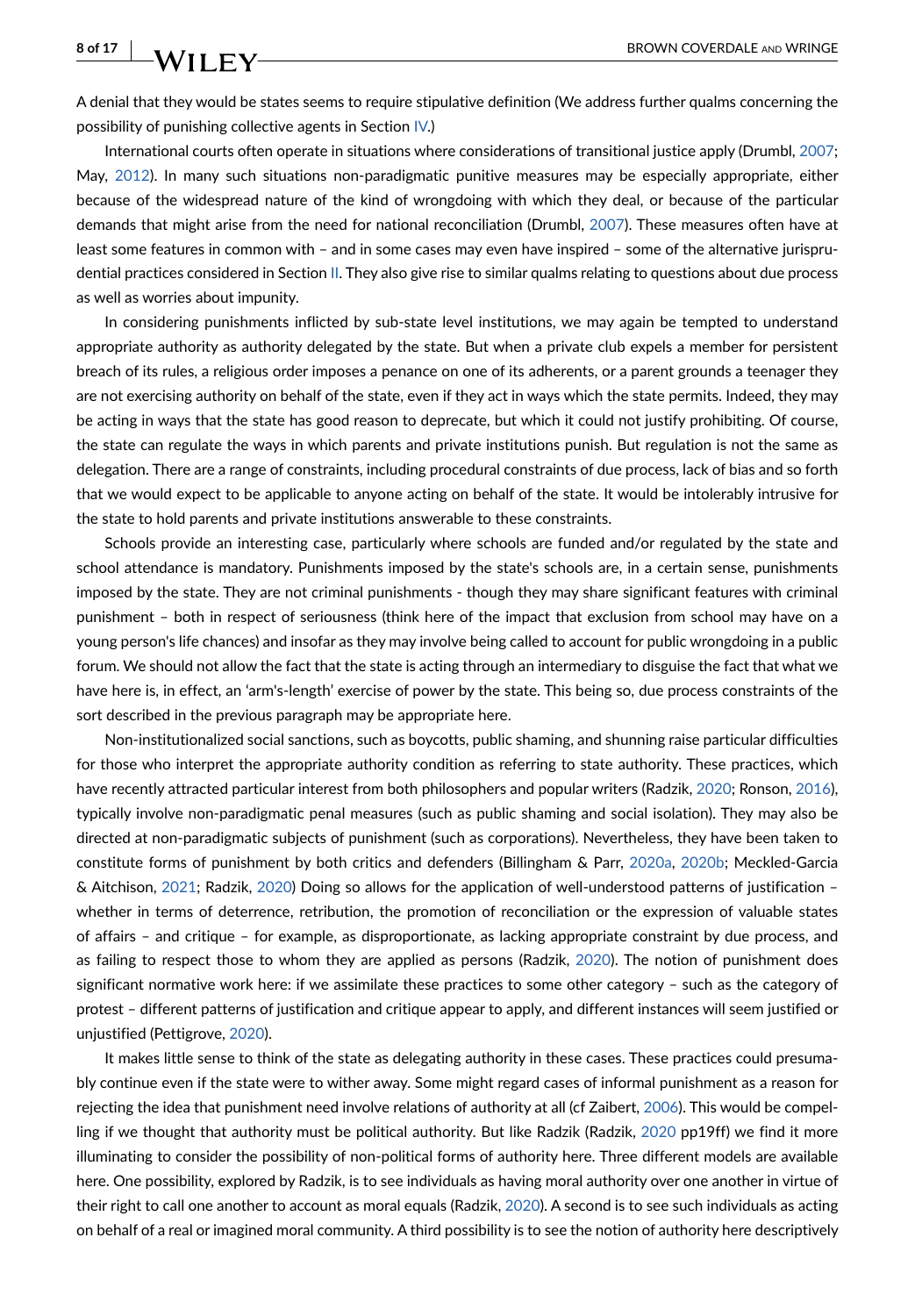A denial that they would be states seems to require stipulative definition (We address further qualms concerning the possibility of punishing collective agents in Section [IV](#page-8-0).)

International courts often operate in situations where considerations of transitional justice apply (Drumbl, [2007](#page-13-23); May, [2012](#page-14-24)). In many such situations non-paradigmatic punitive measures may be especially appropriate, either because of the widespread nature of the kind of wrongdoing with which they deal, or because of the particular demands that might arise from the need for national reconciliation (Drumbl, [2007\)](#page-13-23). These measures often have at least some features in common with – and in some cases may even have inspired – some of the alternative jurisprudential practices considered in Section [II.](#page-2-0) They also give rise to similar qualms relating to questions about due process as well as worries about impunity.

In considering punishments inflicted by sub-state level institutions, we may again be tempted to understand appropriate authority as authority delegated by the state. But when a private club expels a member for persistent breach of its rules, a religious order imposes a penance on one of its adherents, or a parent grounds a teenager they are not exercising authority on behalf of the state, even if they act in ways which the state permits. Indeed, they may be acting in ways that the state has good reason to deprecate, but which it could not justify prohibiting. Of course, the state can regulate the ways in which parents and private institutions punish. But regulation is not the same as delegation. There are a range of constraints, including procedural constraints of due process, lack of bias and so forth that we would expect to be applicable to anyone acting on behalf of the state. It would be intolerably intrusive for the state to hold parents and private institutions answerable to these constraints.

Schools provide an interesting case, particularly where schools are funded and/or regulated by the state and school attendance is mandatory. Punishments imposed by the state's schools are, in a certain sense, punishments imposed by the state. They are not criminal punishments - though they may share significant features with criminal punishment – both in respect of seriousness (think here of the impact that exclusion from school may have on a young person's life chances) and insofar as they may involve being called to account for public wrongdoing in a public forum. We should not allow the fact that the state is acting through an intermediary to disguise the fact that what we have here is, in effect, an 'arm's-length' exercise of power by the state. This being so, due process constraints of the sort described in the previous paragraph may be appropriate here.

Non-institutionalized social sanctions, such as boycotts, public shaming, and shunning raise particular difficulties for those who interpret the appropriate authority condition as referring to state authority. These practices, which have recently attracted particular interest from both philosophers and popular writers (Radzik, [2020;](#page-14-25) Ronson, [2016](#page-14-26)), typically involve non-paradigmatic penal measures (such as public shaming and social isolation). They may also be directed at non-paradigmatic subjects of punishment (such as corporations). Nevertheless, they have been taken to constitute forms of punishment by both critics and defenders (Billingham & Parr, [2020a](#page-12-24), [2020b;](#page-12-25) Meckled-Garcia & Aitchison, [2021](#page-14-27); Radzik, [2020\)](#page-14-25) Doing so allows for the application of well-understood patterns of justification – whether in terms of deterrence, retribution, the promotion of reconciliation or the expression of valuable states of affairs – and critique – for example, as disproportionate, as lacking appropriate constraint by due process, and as failing to respect those to whom they are applied as persons (Radzik, [2020\)](#page-14-25). The notion of punishment does significant normative work here: if we assimilate these practices to some other category – such as the category of protest – different patterns of justification and critique appear to apply, and different instances will seem justified or unjustified (Pettigrove, [2020](#page-14-28)).

It makes little sense to think of the state as delegating authority in these cases. These practices could presumably continue even if the state were to wither away. Some might regard cases of informal punishment as a reason for rejecting the idea that punishment need involve relations of authority at all (cf Zaibert, [2006\)](#page-15-0). This would be compelling if we thought that authority must be political authority. But like Radzik (Radzik, [2020](#page-14-25) pp19ff) we find it more illuminating to consider the possibility of non-political forms of authority here. Three different models are available here. One possibility, explored by Radzik, is to see individuals as having moral authority over one another in virtue of their right to call one another to account as moral equals (Radzik, [2020](#page-14-25)). A second is to see such individuals as acting on behalf of a real or imagined moral community. A third possibility is to see the notion of authority here descriptively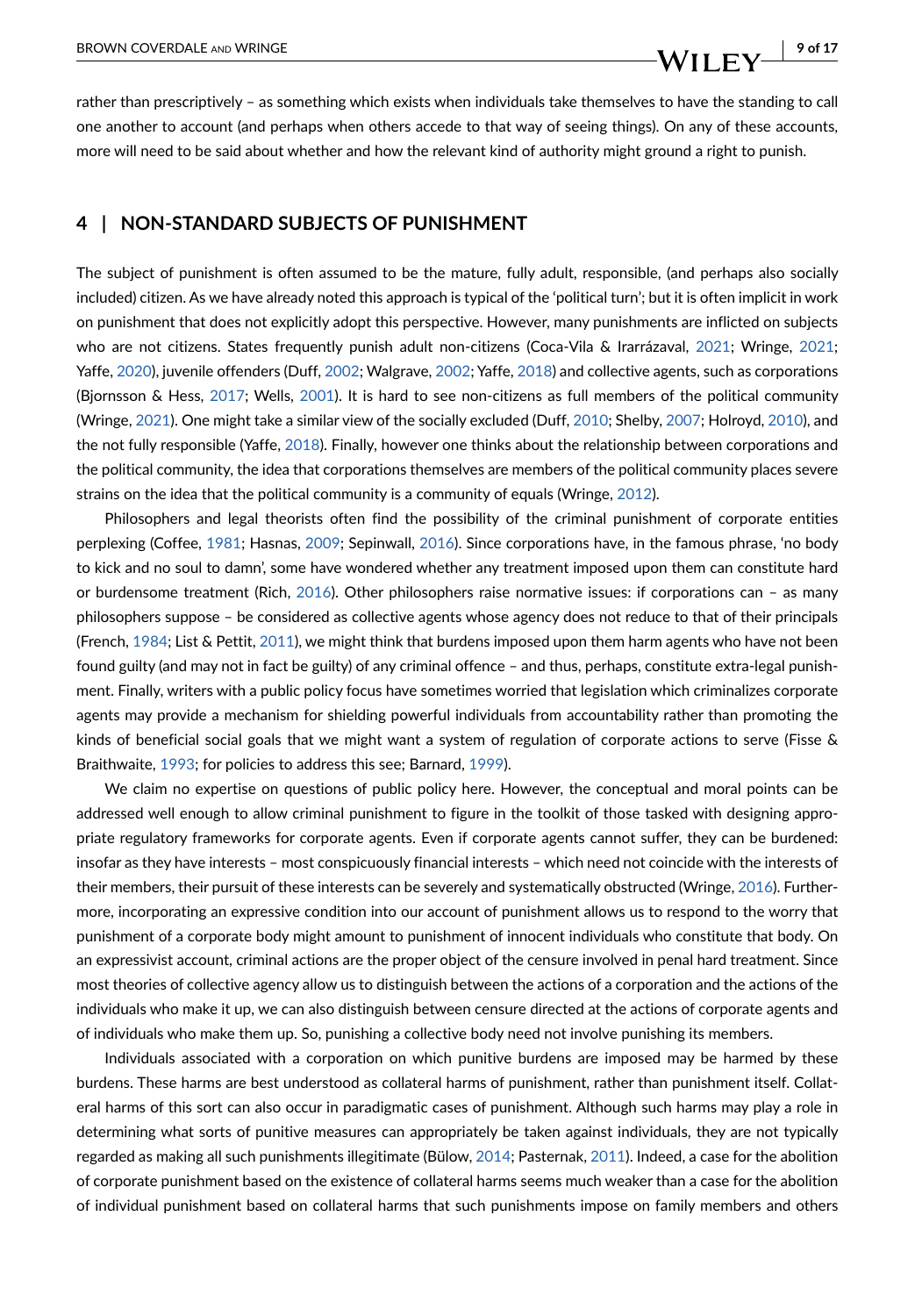rather than prescriptively – as something which exists when individuals take themselves to have the standing to call one another to account (and perhaps when others accede to that way of seeing things). On any of these accounts, more will need to be said about whether and how the relevant kind of authority might ground a right to punish.

#### <span id="page-8-0"></span>**4 | NON-STANDARD SUBJECTS OF PUNISHMENT**

The subject of punishment is often assumed to be the mature, fully adult, responsible, (and perhaps also socially included) citizen. As we have already noted this approach is typical of the 'political turn'; but it is often implicit in work on punishment that does not explicitly adopt this perspective. However, many punishments are inflicted on subjects who are not citizens. States frequently punish adult non-citizens (Coca-Vila & Irarrázaval, [2021](#page-12-26); Wringe, [2021](#page-15-3); Yaffe, [2020](#page-15-21)), juvenile offenders (Duff, [2002;](#page-13-16) Walgrave, [2002](#page-15-22); Yaffe, [2018\)](#page-15-23) and collective agents, such as corporations (Bjornsson & Hess, [2017;](#page-12-27) Wells, [2001](#page-15-24)). It is hard to see non-citizens as full members of the political community (Wringe, [2021](#page-15-3)). One might take a similar view of the socially excluded (Duff, [2010](#page-13-24); Shelby, [2007](#page-15-25); Holroyd, [2010\)](#page-13-25), and the not fully responsible (Yaffe, [2018](#page-15-23)). Finally, however one thinks about the relationship between corporations and the political community, the idea that corporations themselves are members of the political community places severe strains on the idea that the political community is a community of equals (Wringe, [2012\)](#page-15-26).

Philosophers and legal theorists often find the possibility of the criminal punishment of corporate entities perplexing (Coffee, [1981;](#page-12-28) Hasnas, [2009](#page-13-26); Sepinwall, [2016](#page-15-27)). Since corporations have, in the famous phrase, 'no body to kick and no soul to damn', some have wondered whether any treatment imposed upon them can constitute hard or burdensome treatment (Rich, [2016\)](#page-14-29). Other philosophers raise normative issues: if corporations can – as many philosophers suppose – be considered as collective agents whose agency does not reduce to that of their principals (French, [1984;](#page-13-27) List & Pettit, [2011](#page-14-30)), we might think that burdens imposed upon them harm agents who have not been found guilty (and may not in fact be guilty) of any criminal offence – and thus, perhaps, constitute extra-legal punishment. Finally, writers with a public policy focus have sometimes worried that legislation which criminalizes corporate agents may provide a mechanism for shielding powerful individuals from accountability rather than promoting the kinds of beneficial social goals that we might want a system of regulation of corporate actions to serve (Fisse & Braithwaite, [1993](#page-13-28); for policies to address this see; Barnard, [1999\)](#page-12-29).

We claim no expertise on questions of public policy here. However, the conceptual and moral points can be addressed well enough to allow criminal punishment to figure in the toolkit of those tasked with designing appropriate regulatory frameworks for corporate agents. Even if corporate agents cannot suffer, they can be burdened: insofar as they have interests – most conspicuously financial interests – which need not coincide with the interests of their members, their pursuit of these interests can be severely and systematically obstructed (Wringe, [2016](#page-15-28)). Furthermore, incorporating an expressive condition into our account of punishment allows us to respond to the worry that punishment of a corporate body might amount to punishment of innocent individuals who constitute that body. On an expressivist account, criminal actions are the proper object of the censure involved in penal hard treatment. Since most theories of collective agency allow us to distinguish between the actions of a corporation and the actions of the individuals who make it up, we can also distinguish between censure directed at the actions of corporate agents and of individuals who make them up. So, punishing a collective body need not involve punishing its members.

Individuals associated with a corporation on which punitive burdens are imposed may be harmed by these burdens. These harms are best understood as collateral harms of punishment, rather than punishment itself. Collateral harms of this sort can also occur in paradigmatic cases of punishment. Although such harms may play a role in determining what sorts of punitive measures can appropriately be taken against individuals, they are not typically regarded as making all such punishments illegitimate (Bülow, [2014;](#page-12-12) Pasternak, [2011\)](#page-14-31). Indeed, a case for the abolition of corporate punishment based on the existence of collateral harms seems much weaker than a case for the abolition of individual punishment based on collateral harms that such punishments impose on family members and others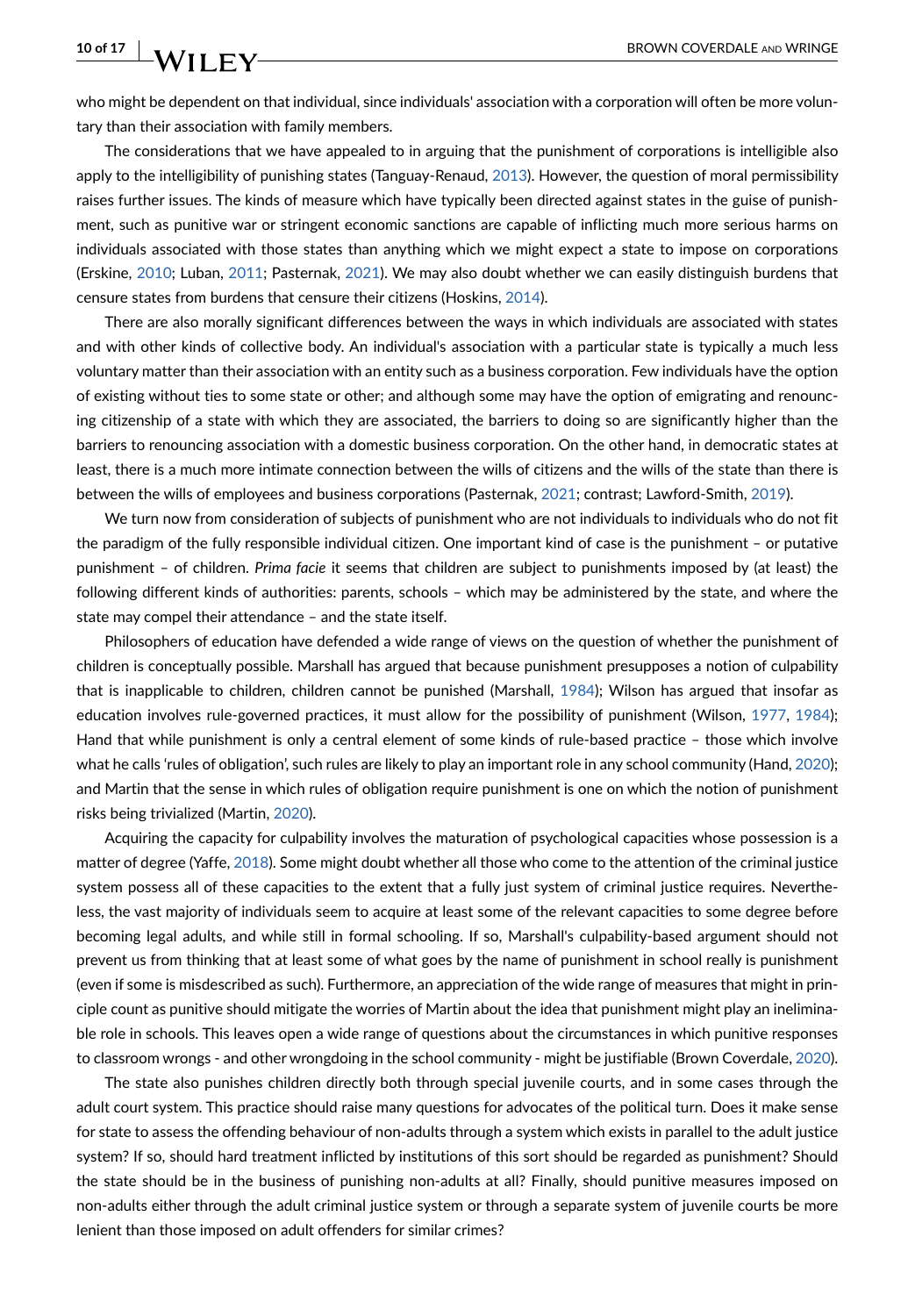who might be dependent on that individual, since individuals' association with a corporation will often be more voluntary than their association with family members.

The considerations that we have appealed to in arguing that the punishment of corporations is intelligible also apply to the intelligibility of punishing states (Tanguay-Renaud, [2013](#page-15-29)). However, the question of moral permissibility raises further issues. The kinds of measure which have typically been directed against states in the guise of punishment, such as punitive war or stringent economic sanctions are capable of inflicting much more serious harms on individuals associated with those states than anything which we might expect a state to impose on corporations (Erskine, [2010;](#page-13-29) Luban, [2011;](#page-14-32) Pasternak, [2021](#page-14-33)). We may also doubt whether we can easily distinguish burdens that censure states from burdens that censure their citizens (Hoskins, [2014](#page-13-30)).

There are also morally significant differences between the ways in which individuals are associated with states and with other kinds of collective body. An individual's association with a particular state is typically a much less voluntary matter than their association with an entity such as a business corporation. Few individuals have the option of existing without ties to some state or other; and although some may have the option of emigrating and renouncing citizenship of a state with which they are associated, the barriers to doing so are significantly higher than the barriers to renouncing association with a domestic business corporation. On the other hand, in democratic states at least, there is a much more intimate connection between the wills of citizens and the wills of the state than there is between the wills of employees and business corporations (Pasternak, [2021](#page-14-33); contrast; Lawford-Smith, [2019\)](#page-14-34).

We turn now from consideration of subjects of punishment who are not individuals to individuals who do not fit the paradigm of the fully responsible individual citizen. One important kind of case is the punishment – or putative punishment – of children. *Prima facie* it seems that children are subject to punishments imposed by (at least) the following different kinds of authorities: parents, schools – which may be administered by the state, and where the state may compel their attendance – and the state itself.

Philosophers of education have defended a wide range of views on the question of whether the punishment of children is conceptually possible. Marshall has argued that because punishment presupposes a notion of culpability that is inapplicable to children, children cannot be punished (Marshall, [1984](#page-14-35)); Wilson has argued that insofar as education involves rule-governed practices, it must allow for the possibility of punishment (Wilson, [1977,](#page-15-30) [1984\)](#page-15-31); Hand that while punishment is only a central element of some kinds of rule-based practice – those which involve what he calls 'rules of obligation', such rules are likely to play an important role in any school community (Hand, [2020\)](#page-13-31); and Martin that the sense in which rules of obligation require punishment is one on which the notion of punishment risks being trivialized (Martin, [2020\)](#page-14-36).

Acquiring the capacity for culpability involves the maturation of psychological capacities whose possession is a matter of degree (Yaffe, [2018](#page-15-23)). Some might doubt whether all those who come to the attention of the criminal justice system possess all of these capacities to the extent that a fully just system of criminal justice requires. Nevertheless, the vast majority of individuals seem to acquire at least some of the relevant capacities to some degree before becoming legal adults, and while still in formal schooling. If so, Marshall's culpability-based argument should not prevent us from thinking that at least some of what goes by the name of punishment in school really is punishment (even if some is misdescribed as such). Furthermore, an appreciation of the wide range of measures that might in principle count as punitive should mitigate the worries of Martin about the idea that punishment might play an ineliminable role in schools. This leaves open a wide range of questions about the circumstances in which punitive responses to classroom wrongs - and other wrongdoing in the school community - might be justifiable (Brown Coverdale, [2020](#page-12-30)).

The state also punishes children directly both through special juvenile courts, and in some cases through the adult court system. This practice should raise many questions for advocates of the political turn. Does it make sense for state to assess the offending behaviour of non-adults through a system which exists in parallel to the adult justice system? If so, should hard treatment inflicted by institutions of this sort should be regarded as punishment? Should the state should be in the business of punishing non-adults at all? Finally, should punitive measures imposed on non-adults either through the adult criminal justice system or through a separate system of juvenile courts be more lenient than those imposed on adult offenders for similar crimes?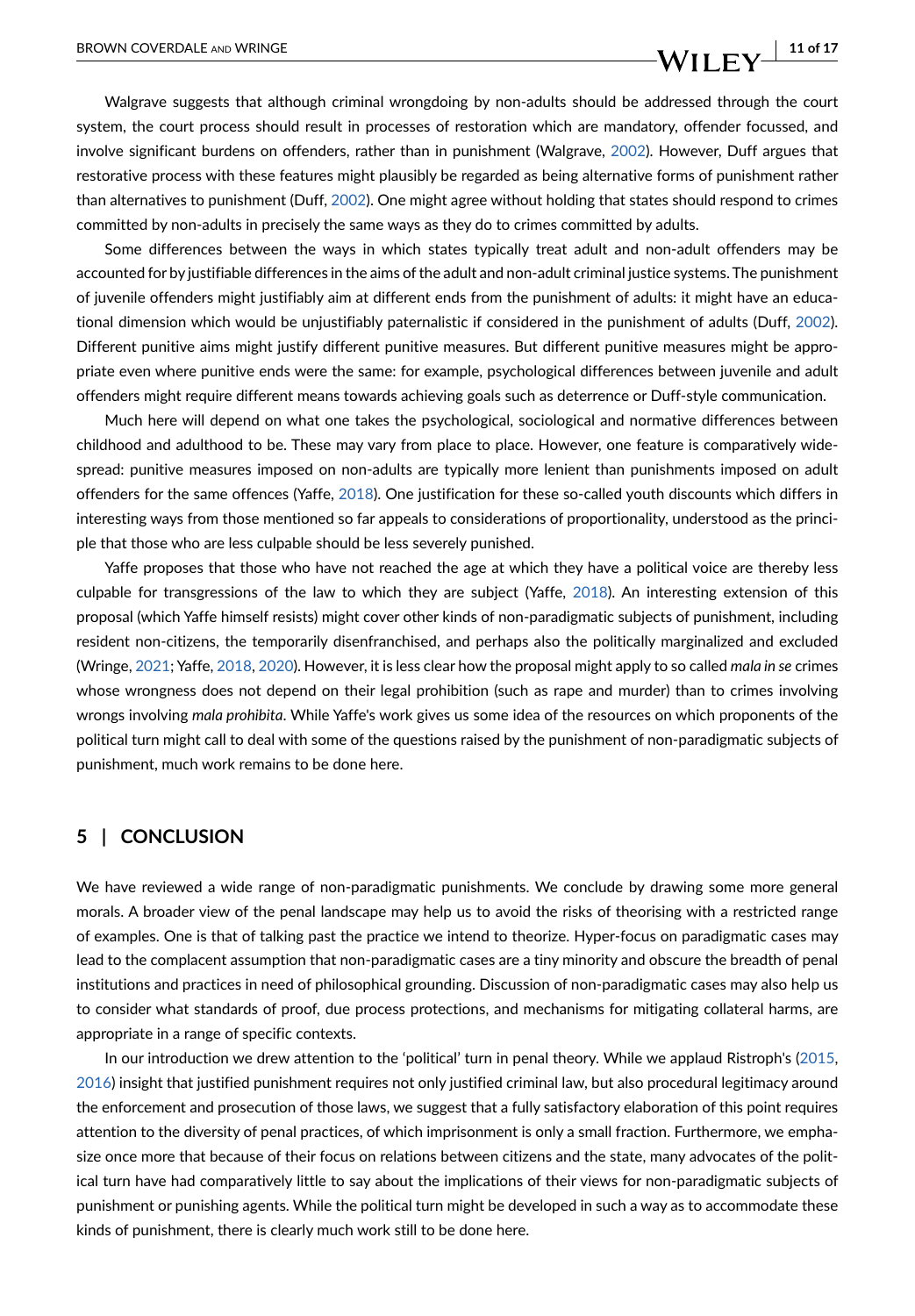# BROWN COVERDALE AND WRINGE **11 of 17 11 of 17**

Walgrave suggests that although criminal wrongdoing by non-adults should be addressed through the court system, the court process should result in processes of restoration which are mandatory, offender focussed, and involve significant burdens on offenders, rather than in punishment (Walgrave, [2002](#page-15-22)). However, Duff argues that restorative process with these features might plausibly be regarded as being alternative forms of punishment rather than alternatives to punishment (Duff, [2002](#page-13-16)). One might agree without holding that states should respond to crimes committed by non-adults in precisely the same ways as they do to crimes committed by adults.

Some differences between the ways in which states typically treat adult and non-adult offenders may be accounted for by justifiable differences in the aims of the adult and non-adult criminal justice systems. The punishment of juvenile offenders might justifiably aim at different ends from the punishment of adults: it might have an educational dimension which would be unjustifiably paternalistic if considered in the punishment of adults (Duff, [2002](#page-13-16)). Different punitive aims might justify different punitive measures. But different punitive measures might be appropriate even where punitive ends were the same: for example, psychological differences between juvenile and adult offenders might require different means towards achieving goals such as deterrence or Duff-style communication.

Much here will depend on what one takes the psychological, sociological and normative differences between childhood and adulthood to be. These may vary from place to place. However, one feature is comparatively widespread: punitive measures imposed on non-adults are typically more lenient than punishments imposed on adult offenders for the same offences (Yaffe, [2018\)](#page-15-23). One justification for these so-called youth discounts which differs in interesting ways from those mentioned so far appeals to considerations of proportionality, understood as the principle that those who are less culpable should be less severely punished.

Yaffe proposes that those who have not reached the age at which they have a political voice are thereby less culpable for transgressions of the law to which they are subject (Yaffe, [2018](#page-15-23)). An interesting extension of this proposal (which Yaffe himself resists) might cover other kinds of non-paradigmatic subjects of punishment, including resident non-citizens, the temporarily disenfranchised, and perhaps also the politically marginalized and excluded (Wringe, [2021](#page-15-3); Yaffe, [2018](#page-15-23), [2020\)](#page-15-21). However, it is less clear how the proposal might apply to so called *mala in se* crimes whose wrongness does not depend on their legal prohibition (such as rape and murder) than to crimes involving wrongs involving *mala prohibita*. While Yaffe's work gives us some idea of the resources on which proponents of the political turn might call to deal with some of the questions raised by the punishment of non-paradigmatic subjects of punishment, much work remains to be done here.

### **5 | CONCLUSION**

We have reviewed a wide range of non-paradigmatic punishments. We conclude by drawing some more general morals. A broader view of the penal landscape may help us to avoid the risks of theorising with a restricted range of examples. One is that of talking past the practice we intend to theorize. Hyper-focus on paradigmatic cases may lead to the complacent assumption that non-paradigmatic cases are a tiny minority and obscure the breadth of penal institutions and practices in need of philosophical grounding. Discussion of non-paradigmatic cases may also help us to consider what standards of proof, due process protections, and mechanisms for mitigating collateral harms, are appropriate in a range of specific contexts.

In our introduction we drew attention to the 'political' turn in penal theory. While we applaud Ristroph's ([2015](#page-14-1), [2016](#page-14-2)) insight that justified punishment requires not only justified criminal law, but also procedural legitimacy around the enforcement and prosecution of those laws, we suggest that a fully satisfactory elaboration of this point requires attention to the diversity of penal practices, of which imprisonment is only a small fraction. Furthermore, we emphasize once more that because of their focus on relations between citizens and the state, many advocates of the political turn have had comparatively little to say about the implications of their views for non-paradigmatic subjects of punishment or punishing agents. While the political turn might be developed in such a way as to accommodate these kinds of punishment, there is clearly much work still to be done here.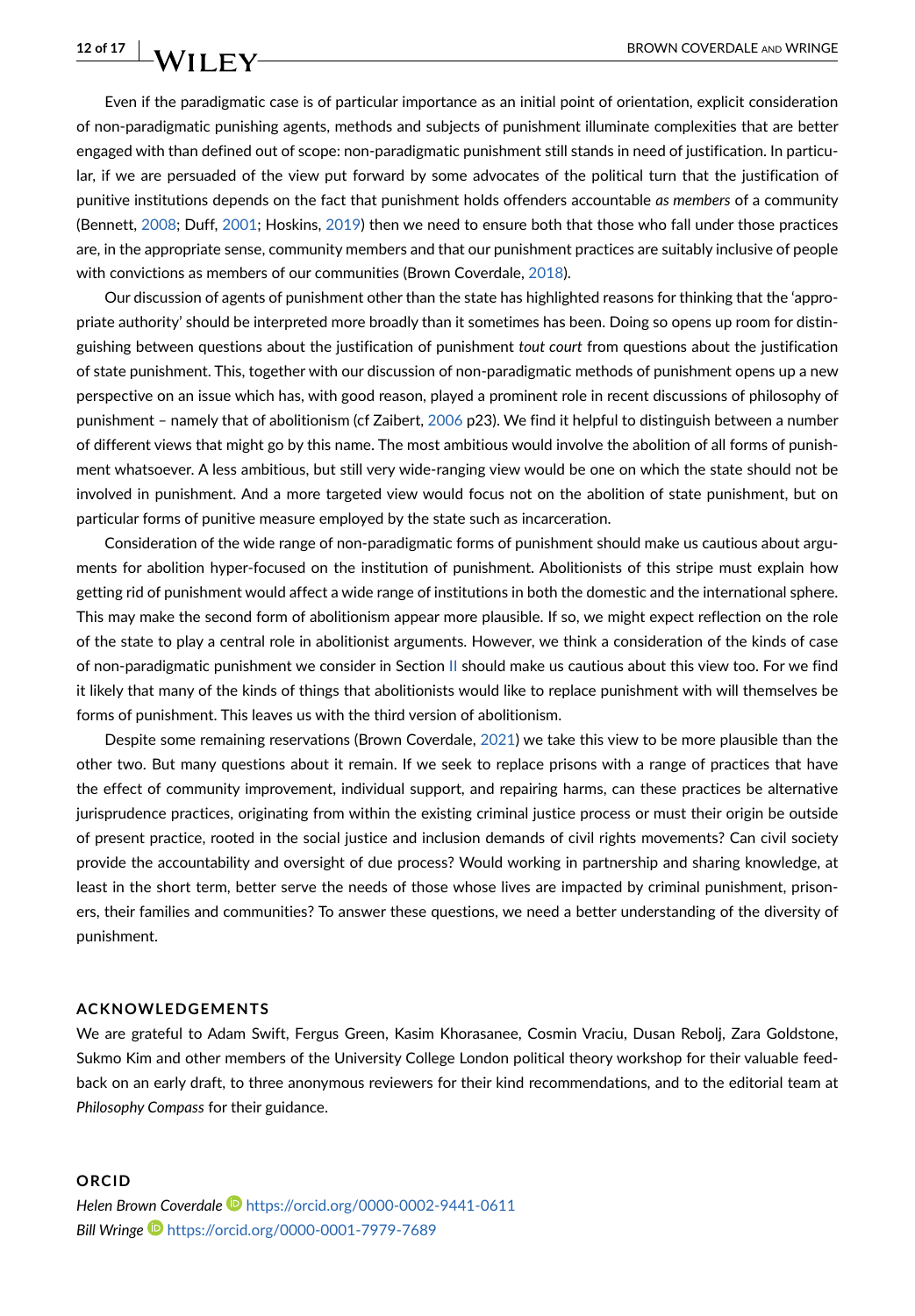Even if the paradigmatic case is of particular importance as an initial point of orientation, explicit consideration of non-paradigmatic punishing agents, methods and subjects of punishment illuminate complexities that are better engaged with than defined out of scope: non-paradigmatic punishment still stands in need of justification. In particular, if we are persuaded of the view put forward by some advocates of the political turn that the justification of punitive institutions depends on the fact that punishment holds offenders accountable *as members* of a community (Bennett, [2008](#page-12-8); Duff, [2001](#page-13-8); Hoskins, [2019](#page-13-32)) then we need to ensure both that those who fall under those practices are, in the appropriate sense, community members and that our punishment practices are suitably inclusive of people with convictions as members of our communities (Brown Coverdale, [2018\)](#page-12-31).

Our discussion of agents of punishment other than the state has highlighted reasons for thinking that the 'appropriate authority' should be interpreted more broadly than it sometimes has been. Doing so opens up room for distinguishing between questions about the justification of punishment *tout court* from questions about the justification of state punishment. This, together with our discussion of non-paradigmatic methods of punishment opens up a new perspective on an issue which has, with good reason, played a prominent role in recent discussions of philosophy of punishment – namely that of abolitionism (cf Zaibert, [2006](#page-15-0) p23). We find it helpful to distinguish between a number of different views that might go by this name. The most ambitious would involve the abolition of all forms of punishment whatsoever. A less ambitious, but still very wide-ranging view would be one on which the state should not be involved in punishment. And a more targeted view would focus not on the abolition of state punishment, but on particular forms of punitive measure employed by the state such as incarceration.

Consideration of the wide range of non-paradigmatic forms of punishment should make us cautious about arguments for abolition hyper-focused on the institution of punishment. Abolitionists of this stripe must explain how getting rid of punishment would affect a wide range of institutions in both the domestic and the international sphere. This may make the second form of abolitionism appear more plausible. If so, we might expect reflection on the role of the state to play a central role in abolitionist arguments. However, we think a consideration of the kinds of case of non-paradigmatic punishment we consider in Section [II](#page-2-0) should make us cautious about this view too. For we find it likely that many of the kinds of things that abolitionists would like to replace punishment with will themselves be forms of punishment. This leaves us with the third version of abolitionism.

Despite some remaining reservations (Brown Coverdale, [2021](#page-12-21)) we take this view to be more plausible than the other two. But many questions about it remain. If we seek to replace prisons with a range of practices that have the effect of community improvement, individual support, and repairing harms, can these practices be alternative jurisprudence practices, originating from within the existing criminal justice process or must their origin be outside of present practice, rooted in the social justice and inclusion demands of civil rights movements? Can civil society provide the accountability and oversight of due process? Would working in partnership and sharing knowledge, at least in the short term, better serve the needs of those whose lives are impacted by criminal punishment, prisoners, their families and communities? To answer these questions, we need a better understanding of the diversity of punishment.

#### **ACKNOWLEDGEMENTS**

We are grateful to Adam Swift, Fergus Green, Kasim Khorasanee, Cosmin Vraciu, Dusan Rebolj, Zara Goldstone, Sukmo Kim and other members of the University College London political theory workshop for their valuable feedback on an early draft, to three anonymous reviewers for their kind recommendations, and to the editorial team at *Philosophy Compass* for their guidance.

#### **ORCID**

*Helen Brown Coverdale* <https://orcid.org/0000-0002-9441-0611> *Bill Wringe* <https://orcid.org/0000-0001-7979-7689>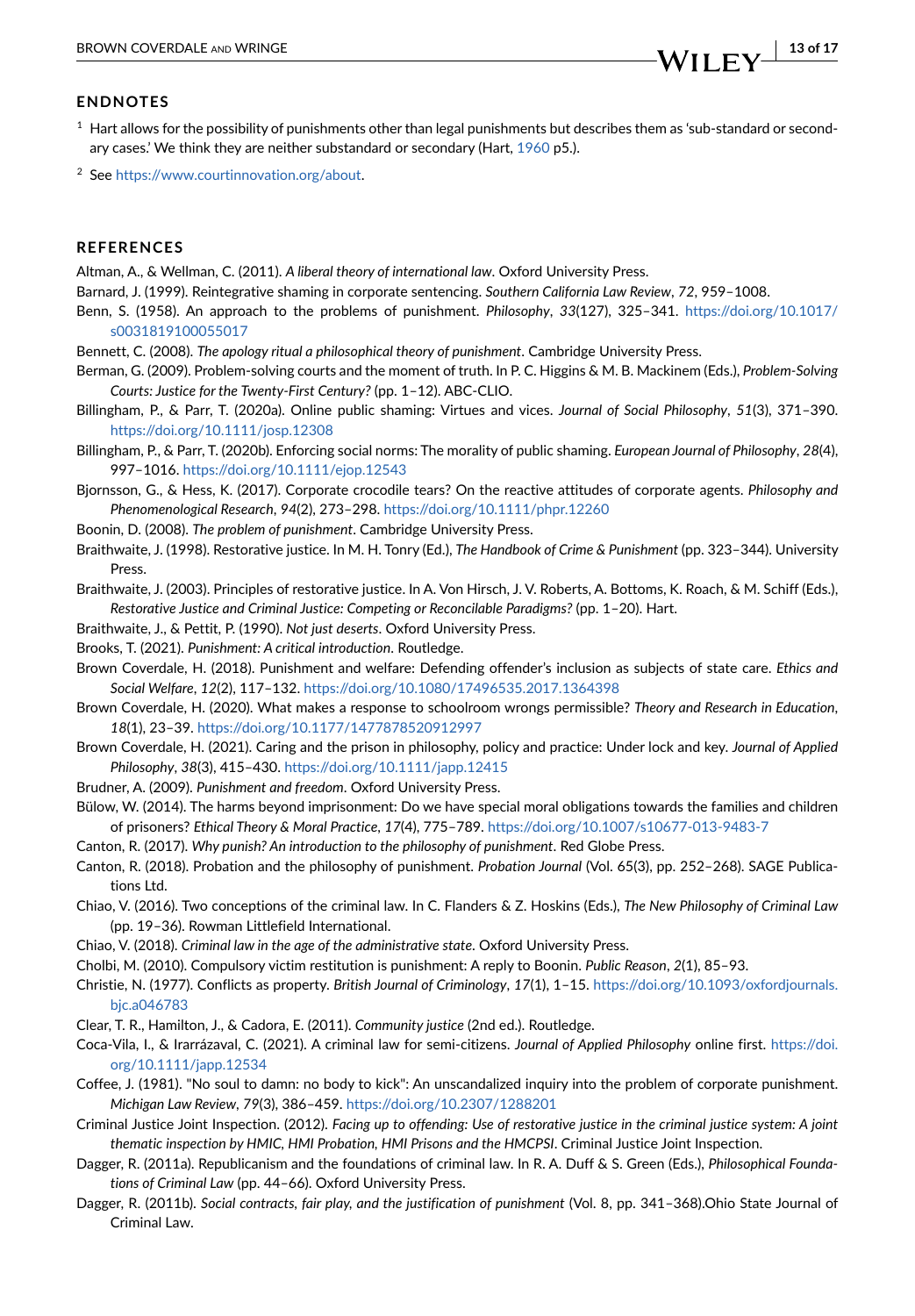#### **ENDNOTES**

- <span id="page-12-2"></span> $1$  Hart allows for the possibility of punishments other than legal punishments but describes them as 'sub-standard or secondary cases.' We think they are neither substandard or secondary (Hart, [1960](#page-13-1) p5.).
- <span id="page-12-17"></span><sup>2</sup> See<https://www.courtinnovation.org/about>.

#### **REFERENCES**

<span id="page-12-23"></span>Altman, A., & Wellman, C. (2011). *A liberal theory of international law*. Oxford University Press.

- <span id="page-12-29"></span>Barnard, J. (1999). Reintegrative shaming in corporate sentencing. *Southern California Law Review*, *72*, 959–1008.
- <span id="page-12-0"></span>Benn, S. (1958). An approach to the problems of punishment. *Philosophy*, *33*(127), 325–341. [https://doi.org/10.1017/](https://doi.org/10.1017/s0031819100055017) [s0031819100055017](https://doi.org/10.1017/s0031819100055017)
- <span id="page-12-8"></span>Bennett, C. (2008). *The apology ritual a philosophical theory of punishment*. Cambridge University Press.
- <span id="page-12-19"></span>Berman, G. (2009). Problem-solving courts and the moment of truth. In P. C. Higgins & M. B. Mackinem (Eds.), *Problem-Solving Courts: Justice for the Twenty-First Century?* (pp. 1–12). ABC-CLIO.
- <span id="page-12-24"></span>Billingham, P., & Parr, T. (2020a). Online public shaming: Virtues and vices. *Journal of Social Philosophy*, *51*(3), 371–390. <https://doi.org/10.1111/josp.12308>
- <span id="page-12-25"></span>Billingham, P., & Parr, T. (2020b). Enforcing social norms: The morality of public shaming. *European Journal of Philosophy*, *28*(4), 997–1016. <https://doi.org/10.1111/ejop.12543>
- <span id="page-12-27"></span>Bjornsson, G., & Hess, K. (2017). Corporate crocodile tears? On the reactive attitudes of corporate agents. *Philosophy and Phenomenological Research*, *94*(2), 273–298.<https://doi.org/10.1111/phpr.12260>
- <span id="page-12-1"></span>Boonin, D. (2008). *The problem of punishment*. Cambridge University Press.
- <span id="page-12-15"></span>Braithwaite, J. (1998). Restorative justice. In M. H. Tonry (Ed.), *The Handbook of Crime & Punishment* (pp. 323–344). University Press.
- <span id="page-12-13"></span>Braithwaite, J. (2003). Principles of restorative justice. In A. Von Hirsch, J. V. Roberts, A. Bottoms, K. Roach, & M. Schiff (Eds.), *Restorative Justice and Criminal Justice: Competing or Reconcilable Paradigms?* (pp. 1–20). Hart.
- <span id="page-12-14"></span>Braithwaite, J., & Pettit, P. (1990). *Not just deserts*. Oxford University Press.
- <span id="page-12-9"></span>Brooks, T. (2021). *Punishment: A critical introduction*. Routledge.
- <span id="page-12-31"></span>Brown Coverdale, H. (2018). Punishment and welfare: Defending offender's inclusion as subjects of state care. *Ethics and Social Welfare*, *12*(2), 117–132. <https://doi.org/10.1080/17496535.2017.1364398>
- <span id="page-12-30"></span>Brown Coverdale, H. (2020). What makes a response to schoolroom wrongs permissible? *Theory and Research in Education*, *18*(1), 23–39. <https://doi.org/10.1177/1477878520912997>
- <span id="page-12-21"></span>Brown Coverdale, H. (2021). Caring and the prison in philosophy, policy and practice: Under lock and key. *Journal of Applied Philosophy*, *38*(3), 415–430. <https://doi.org/10.1111/japp.12415>
- <span id="page-12-3"></span>Brudner, A. (2009). *Punishment and freedom*. Oxford University Press.
- <span id="page-12-12"></span>Bülow, W. (2014). The harms beyond imprisonment: Do we have special moral obligations towards the families and children of prisoners? *Ethical Theory & Moral Practice*, *17*(4), 775–789. <https://doi.org/10.1007/s10677-013-9483-7>
- <span id="page-12-10"></span>Canton, R. (2017). *Why punish? An introduction to the philosophy of punishment*. Red Globe Press.
- <span id="page-12-11"></span>Canton, R. (2018). Probation and the philosophy of punishment. *Probation Journal* (Vol. 65(3), pp. 252–268). SAGE Publications Ltd.
- <span id="page-12-4"></span>Chiao, V. (2016). Two conceptions of the criminal law. In C. Flanders & Z. Hoskins (Eds.), *The New Philosophy of Criminal Law* (pp. 19–36). Rowman Littlefield International.
- <span id="page-12-7"></span>Chiao, V. (2018). *Criminal law in the age of the administrative state*. Oxford University Press.
- <span id="page-12-20"></span>Cholbi, M. (2010). Compulsory victim restitution is punishment: A reply to Boonin. *Public Reason*, *2*(1), 85–93.
- <span id="page-12-22"></span>Christie, N. (1977). Conflicts as property. *British Journal of Criminology*, *17*(1), 1–15. [https://doi.org/10.1093/oxfordjournals.](https://doi.org/10.1093/oxfordjournals.bjc.a046783) [bjc.a046783](https://doi.org/10.1093/oxfordjournals.bjc.a046783)
- <span id="page-12-18"></span>Clear, T. R., Hamilton, J., & Cadora, E. (2011). *Community justice* (2nd ed.). Routledge.
- <span id="page-12-26"></span>Coca-Vila, I., & Irarrázaval, C. (2021). A criminal law for semi-citizens. *Journal of Applied Philosophy* online first. [https://doi.](https://doi.org/10.1111/japp.12534) [org/10.1111/japp.12534](https://doi.org/10.1111/japp.12534)
- <span id="page-12-28"></span>Coffee, J. (1981). "No soul to damn: no body to kick": An unscandalized inquiry into the problem of corporate punishment. *Michigan Law Review*, *79*(3), 386–459. <https://doi.org/10.2307/1288201>
- <span id="page-12-16"></span>Criminal Justice Joint Inspection. (2012). *Facing up to offending: Use of restorative justice in the criminal justice system: A joint thematic inspection by HMIC, HMI Probation, HMI Prisons and the HMCPSI*. Criminal Justice Joint Inspection.
- <span id="page-12-5"></span>Dagger, R. (2011a). Republicanism and the foundations of criminal law. In R. A. Duff & S. Green (Eds.), *Philosophical Foundations of Criminal Law* (pp. 44–66). Oxford University Press.
- <span id="page-12-6"></span>Dagger, R. (2011b). *Social contracts, fair play, and the justification of punishment* (Vol. 8, pp. 341–368).Ohio State Journal of Criminal Law.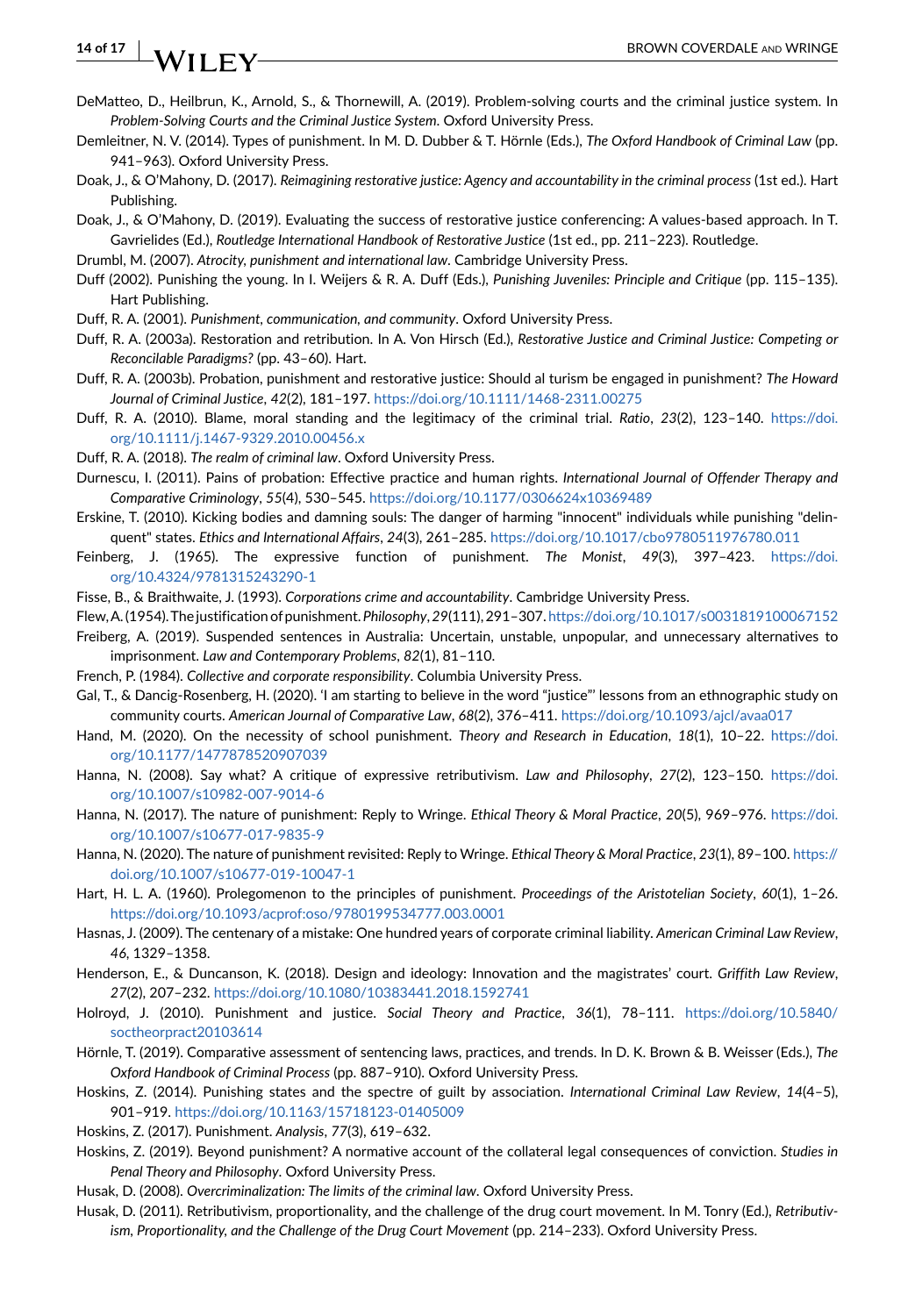# **14 of 17** NII  $\mathbf{F}$  **Willie EX**

- <span id="page-13-19"></span>DeMatteo, D., Heilbrun, K., Arnold, S., & Thornewill, A. (2019). Problem-solving courts and the criminal justice system. In *Problem-Solving Courts and the Criminal Justice System*. Oxford University Press.
- <span id="page-13-9"></span>Demleitner, N. V. (2014). Types of punishment. In M. D. Dubber & T. Hörnle (Eds.), *The Oxford Handbook of Criminal Law* (pp. 941–963). Oxford University Press.
- <span id="page-13-18"></span>Doak, J., & O'Mahony, D. (2017). *Reimagining restorative justice: Agency and accountability in the criminal process* (1st ed.). Hart Publishing.
- <span id="page-13-13"></span>Doak, J., & O'Mahony, D. (2019). Evaluating the success of restorative justice conferencing: A values-based approach. In T. Gavrielides (Ed.), *Routledge International Handbook of Restorative Justice* (1st ed., pp. 211–223). Routledge.
- <span id="page-13-23"></span>Drumbl, M. (2007). *Atrocity, punishment and international law*. Cambridge University Press.
- <span id="page-13-16"></span>Duff (2002). Punishing the young. In I. Weijers & R. A. Duff (Eds.), *Punishing Juveniles: Principle and Critique* (pp. 115–135). Hart Publishing.
- <span id="page-13-8"></span>Duff, R. A. (2001). *Punishment, communication, and community*. Oxford University Press.
- <span id="page-13-14"></span>Duff, R. A. (2003a). Restoration and retribution. In A. Von Hirsch (Ed.), *Restorative Justice and Criminal Justice: Competing or Reconcilable Paradigms?* (pp. 43–60). Hart.
- <span id="page-13-17"></span>Duff, R. A. (2003b). Probation, punishment and restorative justice: Should al turism be engaged in punishment? *The Howard Journal of Criminal Justice*, *42*(2), 181–197. <https://doi.org/10.1111/1468-2311.00275>
- <span id="page-13-24"></span>Duff, R. A. (2010). Blame, moral standing and the legitimacy of the criminal trial. *Ratio*, *23*(2), 123–140. [https://doi.](https://doi.org/10.1111/j.1467-9329.2010.00456.x) [org/10.1111/j.1467-9329.2010.00456.x](https://doi.org/10.1111/j.1467-9329.2010.00456.x)
- <span id="page-13-15"></span>Duff, R. A. (2018). *The realm of criminal law*. Oxford University Press.
- <span id="page-13-11"></span>Durnescu, I. (2011). Pains of probation: Effective practice and human rights. *International Journal of Offender Therapy and Comparative Criminology*, *55*(4), 530–545. <https://doi.org/10.1177/0306624x10369489>
- <span id="page-13-29"></span>Erskine, T. (2010). Kicking bodies and damning souls: The danger of harming "innocent" individuals while punishing "delinquent" states. *Ethics and International Affairs*, *24*(3), 261–285. <https://doi.org/10.1017/cbo9780511976780.011>
- <span id="page-13-2"></span>Feinberg, J. (1965). The expressive function of punishment. *The Monist*, *49*(3), 397–423. [https://doi.](https://doi.org/10.4324/9781315243290-1) [org/10.4324/9781315243290-1](https://doi.org/10.4324/9781315243290-1)
- <span id="page-13-28"></span>Fisse, B., & Braithwaite, J. (1993). *Corporations crime and accountability*. Cambridge University Press.
- <span id="page-13-0"></span>Flew, A. (1954). The justification of punishment. *Philosophy*, *29*(111), 291–307. <https://doi.org/10.1017/s0031819100067152>
- <span id="page-13-12"></span>Freiberg, A. (2019). Suspended sentences in Australia: Uncertain, unstable, unpopular, and unnecessary alternatives to imprisonment. *Law and Contemporary Problems*, *82*(1), 81–110.
- <span id="page-13-27"></span>French, P. (1984). *Collective and corporate responsibility*. Columbia University Press.
- <span id="page-13-20"></span>Gal, T., & Dancig-Rosenberg, H. (2020). 'I am starting to believe in the word "justice"' lessons from an ethnographic study on community courts. *American Journal of Comparative Law*, *68*(2), 376–411.<https://doi.org/10.1093/ajcl/avaa017>
- <span id="page-13-31"></span>Hand, M. (2020). On the necessity of school punishment. *Theory and Research in Education*, *18*(1), 10–22. [https://doi.](https://doi.org/10.1177/1477878520907039) [org/10.1177/1477878520907039](https://doi.org/10.1177/1477878520907039)
- <span id="page-13-3"></span>Hanna, N. (2008). Say what? A critique of expressive retributivism. *Law and Philosophy*, *27*(2), 123–150. [https://doi.](https://doi.org/10.1007/s10982-007-9014-6) [org/10.1007/s10982-007-9014-6](https://doi.org/10.1007/s10982-007-9014-6)
- <span id="page-13-4"></span>Hanna, N. (2017). The nature of punishment: Reply to Wringe. *Ethical Theory & Moral Practice*, *20*(5), 969–976. [https://doi.](https://doi.org/10.1007/s10677-017-9835-9) [org/10.1007/s10677-017-9835-9](https://doi.org/10.1007/s10677-017-9835-9)
- <span id="page-13-5"></span>Hanna, N. (2020). The nature of punishment revisited: Reply to Wringe. *Ethical Theory & Moral Practice*, *23*(1), 89–100. [https://](https://doi.org/10.1007/s10677-019-10047-1) [doi.org/10.1007/s10677-019-10047-1](https://doi.org/10.1007/s10677-019-10047-1)
- <span id="page-13-1"></span>Hart, H. L. A. (1960). Prolegomenon to the principles of punishment. *Proceedings of the Aristotelian Society*, *60*(1), 1–26. <https://doi.org/10.1093/acprof:oso/9780199534777.003.0001>
- <span id="page-13-26"></span>Hasnas, J. (2009). The centenary of a mistake: One hundred years of corporate criminal liability. *American Criminal Law Review*, *46*, 1329–1358.
- <span id="page-13-22"></span>Henderson, E., & Duncanson, K. (2018). Design and ideology: Innovation and the magistrates' court. *Griffith Law Review*, *27*(2), 207–232. <https://doi.org/10.1080/10383441.2018.1592741>
- <span id="page-13-25"></span>Holroyd, J. (2010). Punishment and justice. *Social Theory and Practice*, *36*(1), 78–111. [https://doi.org/10.5840/](https://doi.org/10.5840/soctheorpract20103614) [soctheorpract20103614](https://doi.org/10.5840/soctheorpract20103614)
- <span id="page-13-10"></span>Hörnle, T. (2019). Comparative assessment of sentencing laws, practices, and trends. In D. K. Brown & B. Weisser (Eds.), *The Oxford Handbook of Criminal Process* (pp. 887–910). Oxford University Press.
- <span id="page-13-30"></span>Hoskins, Z. (2014). Punishing states and the spectre of guilt by association. *International Criminal Law Review*, *14*(4–5), 901–919. <https://doi.org/10.1163/15718123-01405009>
- <span id="page-13-6"></span>Hoskins, Z. (2017). Punishment. *Analysis*, *77*(3), 619–632.
- <span id="page-13-32"></span>Hoskins, Z. (2019). Beyond punishment? A normative account of the collateral legal consequences of conviction. *Studies in Penal Theory and Philosophy*. Oxford University Press.
- <span id="page-13-7"></span>Husak, D. (2008). *Overcriminalization: The limits of the criminal law*. Oxford University Press.
- <span id="page-13-21"></span>Husak, D. (2011). Retributivism, proportionality, and the challenge of the drug court movement. In M. Tonry (Ed.), *Retributivism, Proportionality, and the Challenge of the Drug Court Movement* (pp. 214–233). Oxford University Press.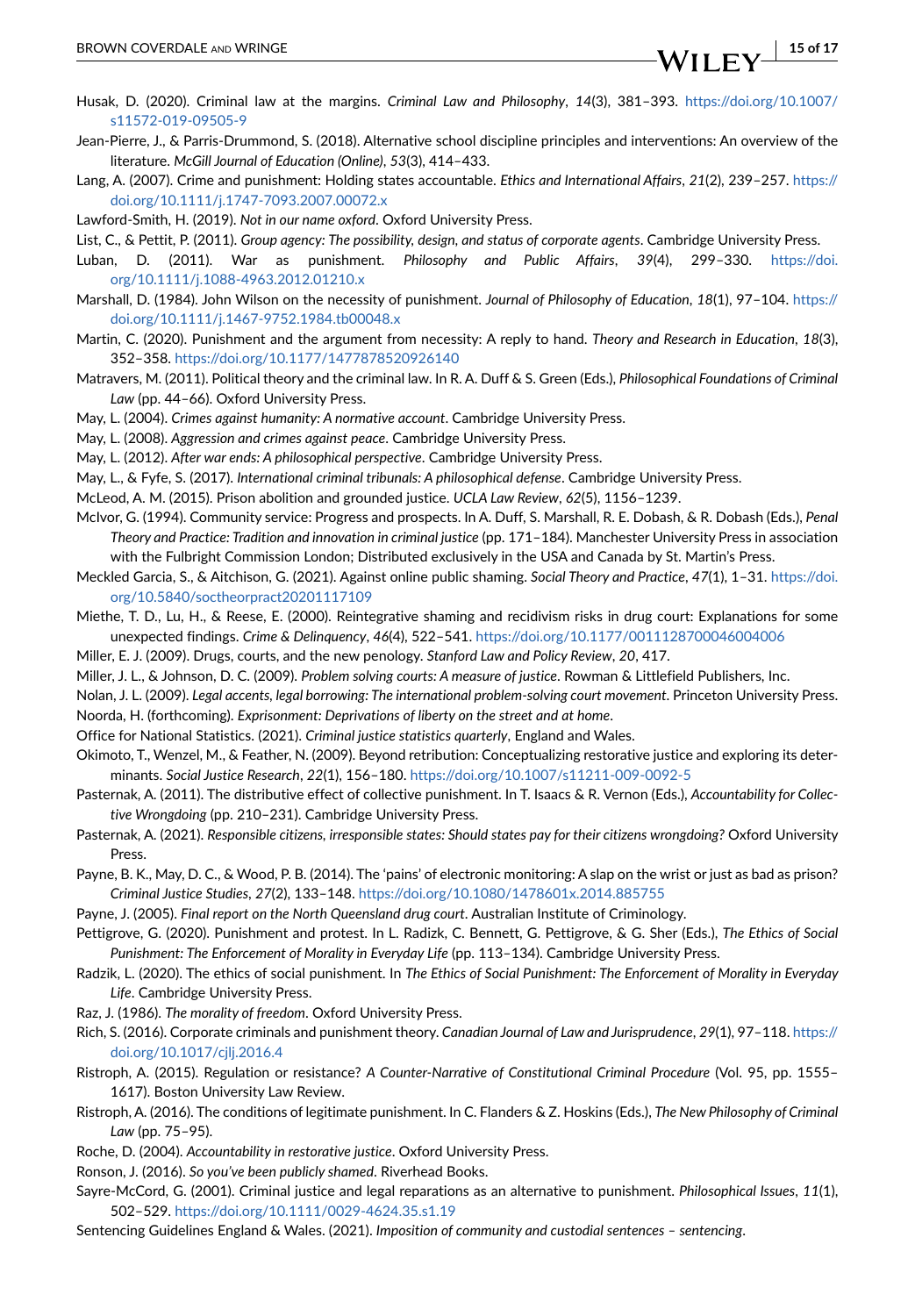- <span id="page-14-4"></span>Husak, D. (2020). Criminal law at the margins. *Criminal Law and Philosophy*, *14*(3), 381–393. [https://doi.org/10.1007/](https://doi.org/10.1007/s11572-019-09505-9) [s11572-019-09505-9](https://doi.org/10.1007/s11572-019-09505-9)
- <span id="page-14-11"></span>Jean-Pierre, J., & Parris-Drummond, S. (2018). Alternative school discipline principles and interventions: An overview of the literature. *McGill Journal of Education (Online)*, *53*(3), 414–433.
- <span id="page-14-23"></span>Lang, A. (2007). Crime and punishment: Holding states accountable. *Ethics and International Affairs*, *21*(2), 239–257. [https://](https://doi.org/10.1111/j.1747-7093.2007.00072.x) [doi.org/10.1111/j.1747-7093.2007.00072.x](https://doi.org/10.1111/j.1747-7093.2007.00072.x)
- <span id="page-14-34"></span>Lawford-Smith, H. (2019). *Not in our name oxford*. Oxford University Press.
- <span id="page-14-30"></span>List, C., & Pettit, P. (2011). *Group agency: The possibility, design, and status of corporate agents*. Cambridge University Press.
- <span id="page-14-32"></span>Luban, D. (2011). War as punishment. *Philosophy and Public Affairs*, *39*(4), 299–330. [https://doi.](https://doi.org/10.1111/j.1088-4963.2012.01210.x) [org/10.1111/j.1088-4963.2012.01210.x](https://doi.org/10.1111/j.1088-4963.2012.01210.x)
- <span id="page-14-35"></span>Marshall, D. (1984). John Wilson on the necessity of punishment. *Journal of Philosophy of Education*, *18*(1), 97–104. [https://](https://doi.org/10.1111/j.1467-9752.1984.tb00048.x) [doi.org/10.1111/j.1467-9752.1984.tb00048.x](https://doi.org/10.1111/j.1467-9752.1984.tb00048.x)
- <span id="page-14-36"></span>Martin, C. (2020). Punishment and the argument from necessity: A reply to hand. *Theory and Research in Education*, *18*(3), 352–358. <https://doi.org/10.1177/1477878520926140>
- <span id="page-14-0"></span>Matravers, M. (2011). Political theory and the criminal law. In R. A. Duff & S. Green (Eds.), *Philosophical Foundations of Criminal Law* (pp. 44–66). Oxford University Press.
- <span id="page-14-19"></span>May, L. (2004). *Crimes against humanity: A normative account*. Cambridge University Press.
- <span id="page-14-21"></span>May, L. (2008). *Aggression and crimes against peace*. Cambridge University Press.
- <span id="page-14-24"></span>May, L. (2012). *After war ends: A philosophical perspective*. Cambridge University Press.
- <span id="page-14-20"></span>May, L., & Fyfe, S. (2017). *International criminal tribunals: A philosophical defense*. Cambridge University Press.
- <span id="page-14-18"></span>McLeod, A. M. (2015). Prison abolition and grounded justice. *UCLA Law Review*, *62*(5), 1156–1239.
- <span id="page-14-6"></span>McIvor, G. (1994). Community service: Progress and prospects. In A. Duff, S. Marshall, R. E. Dobash, & R. Dobash (Eds.), *Penal Theory and Practice: Tradition and innovation in criminal justice* (pp. 171–184). Manchester University Press in association with the Fulbright Commission London; Distributed exclusively in the USA and Canada by St. Martin's Press.
- <span id="page-14-27"></span>Meckled Garcia, S., & Aitchison, G. (2021). Against online public shaming. *Social Theory and Practice*, *47*(1), 1–31. [https://doi.](https://doi.org/10.5840/soctheorpract20201117109) [org/10.5840/soctheorpract20201117109](https://doi.org/10.5840/soctheorpract20201117109)
- <span id="page-14-15"></span>Miethe, T. D., Lu, H., & Reese, E. (2000). Reintegrative shaming and recidivism risks in drug court: Explanations for some unexpected findings. *Crime & Delinquency*, *46*(4), 522–541. <https://doi.org/10.1177/0011128700046004006>
- <span id="page-14-14"></span>Miller, E. J. (2009). Drugs, courts, and the new penology. *Stanford Law and Policy Review*, *20*, 417.
- <span id="page-14-12"></span>Miller, J. L., & Johnson, D. C. (2009). *Problem solving courts: A measure of justice*. Rowman & Littlefield Publishers, Inc.
- <span id="page-14-13"></span>Nolan, J. L. (2009). *Legal accents, legal borrowing: The international problem-solving court movement*. Princeton University Press. Noorda, H. (forthcoming). *Exprisonment: Deprivations of liberty on the street and at home*.
- <span id="page-14-5"></span><span id="page-14-3"></span>Office for National Statistics. (2021). *Criminal justice statistics quarterly*, England and Wales.
- 
- <span id="page-14-9"></span>Okimoto, T., Wenzel, M., & Feather, N. (2009). Beyond retribution: Conceptualizing restorative justice and exploring its determinants. *Social Justice Research*, *22*(1), 156–180.<https://doi.org/10.1007/s11211-009-0092-5>
- <span id="page-14-31"></span>Pasternak, A. (2011). The distributive effect of collective punishment. In T. Isaacs & R. Vernon (Eds.), *Accountability for Collective Wrongdoing* (pp. 210–231). Cambridge University Press.
- <span id="page-14-33"></span>Pasternak, A. (2021). *Responsible citizens, irresponsible states: Should states pay for their citizens wrongdoing?* Oxford University Press.
- <span id="page-14-7"></span>Payne, B. K., May, D. C., & Wood, P. B. (2014). The 'pains' of electronic monitoring: A slap on the wrist or just as bad as prison? *Criminal Justice Studies*, *27*(2), 133–148. <https://doi.org/10.1080/1478601x.2014.885755>
- <span id="page-14-16"></span>Payne, J. (2005). *Final report on the North Queensland drug court*. Australian Institute of Criminology.
- <span id="page-14-28"></span>Pettigrove, G. (2020). Punishment and protest. In L. Radizk, C. Bennett, G. Pettigrove, & G. Sher (Eds.), *The Ethics of Social Punishment: The Enforcement of Morality in Everyday Life* (pp. 113–134). Cambridge University Press.
- <span id="page-14-25"></span>Radzik, L. (2020). The ethics of social punishment. In *The Ethics of Social Punishment: The Enforcement of Morality in Everyday Life*. Cambridge University Press.
- <span id="page-14-22"></span>Raz, J. (1986). *The morality of freedom*. Oxford University Press.
- <span id="page-14-29"></span>Rich, S. (2016). Corporate criminals and punishment theory. *Canadian Journal of Law and Jurisprudence*, *29*(1), 97–118. [https://](https://doi.org/10.1017/cjlj.2016.4) [doi.org/10.1017/cjlj.2016.4](https://doi.org/10.1017/cjlj.2016.4)
- <span id="page-14-1"></span>Ristroph, A. (2015). Regulation or resistance? *A Counter-Narrative of Constitutional Criminal Procedure* (Vol. 95, pp. 1555– 1617). Boston University Law Review.
- <span id="page-14-2"></span>Ristroph, A. (2016). The conditions of legitimate punishment. In C. Flanders & Z. Hoskins (Eds.), *The New Philosophy of Criminal Law* (pp. 75–95).
- <span id="page-14-10"></span>Roche, D. (2004). *Accountability in restorative justice*. Oxford University Press.
- <span id="page-14-26"></span>Ronson, J. (2016). *So you've been publicly shamed*. Riverhead Books.
- <span id="page-14-17"></span>Sayre-McCord, G. (2001). Criminal justice and legal reparations as an alternative to punishment. *Philosophical Issues*, *11*(1), 502–529. <https://doi.org/10.1111/0029-4624.35.s1.19>
- <span id="page-14-8"></span>Sentencing Guidelines England & Wales. (2021). *Imposition of community and custodial sentences – sentencing*.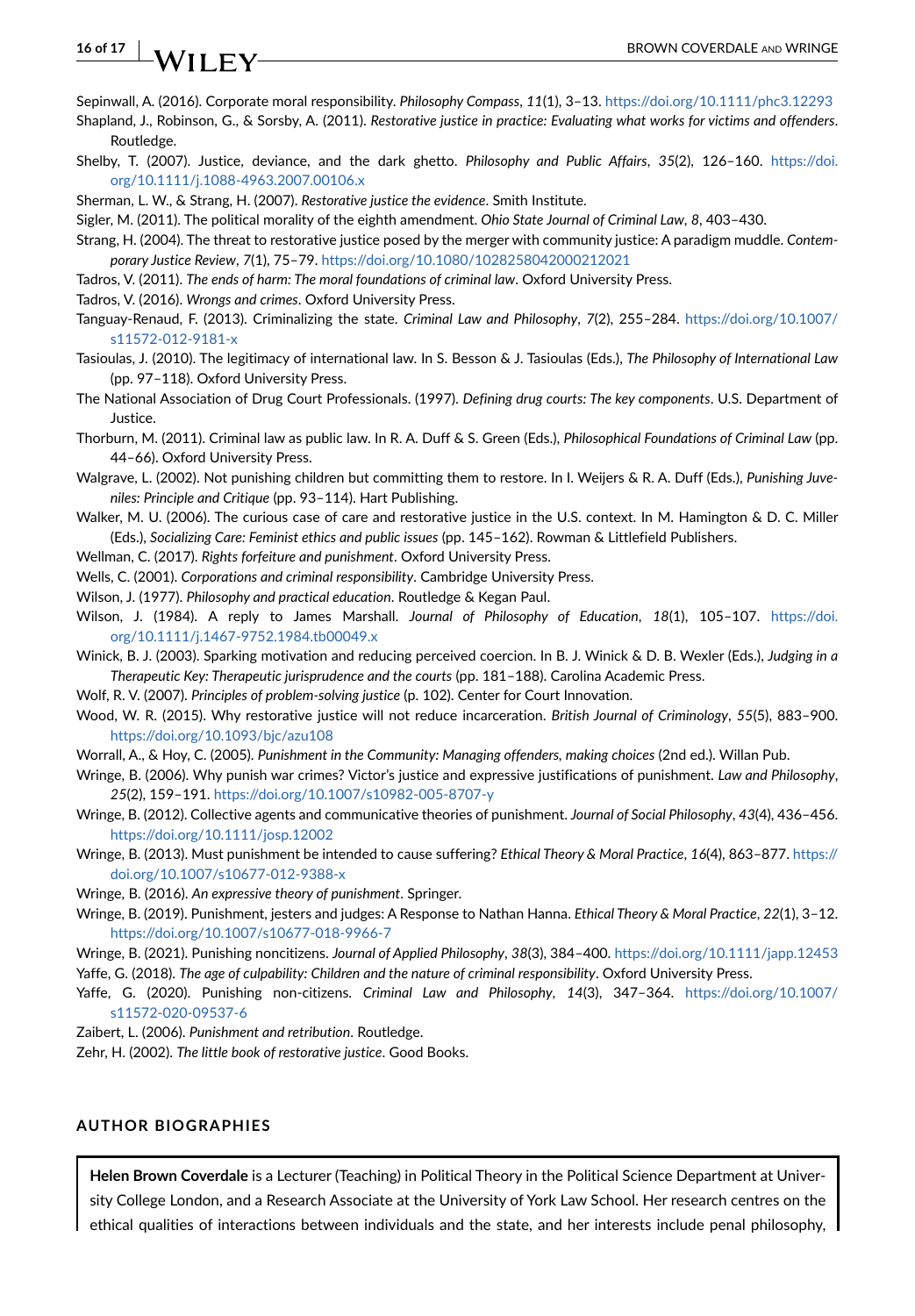<span id="page-15-27"></span>Sepinwall, A. (2016). Corporate moral responsibility. *Philosophy Compass*, *11*(1), 3–13. <https://doi.org/10.1111/phc3.12293>

- <span id="page-15-11"></span>Shapland, J., Robinson, G., & Sorsby, A. (2011). *Restorative justice in practice: Evaluating what works for victims and offenders*. Routledge.
- <span id="page-15-25"></span>Shelby, T. (2007). Justice, deviance, and the dark ghetto. *Philosophy and Public Affairs*, *35*(2), 126–160. [https://doi.](https://doi.org/10.1111/j.1088-4963.2007.00106.x) [org/10.1111/j.1088-4963.2007.00106.x](https://doi.org/10.1111/j.1088-4963.2007.00106.x)
- <span id="page-15-12"></span>Sherman, L. W., & Strang, H. (2007). *Restorative justice the evidence*. Smith Institute.
- <span id="page-15-4"></span>Sigler, M. (2011). The political morality of the eighth amendment. *Ohio State Journal of Criminal Law*, *8*, 403–430.
- <span id="page-15-15"></span>Strang, H. (2004). The threat to restorative justice posed by the merger with community justice: A paradigm muddle. *Contemporary Justice Review*, *7*(1), 75–79.<https://doi.org/10.1080/1028258042000212021>
- <span id="page-15-6"></span>Tadros, V. (2011). *The ends of harm: The moral foundations of criminal law*. Oxford University Press.
- <span id="page-15-7"></span>Tadros, V. (2016). *Wrongs and crimes*. Oxford University Press.
- <span id="page-15-29"></span>Tanguay-Renaud, F. (2013). Criminalizing the state. *Criminal Law and Philosophy*, *7*(2), 255–284. [https://doi.org/10.1007/](https://doi.org/10.1007/s11572-012-9181-x) [s11572-012-9181-x](https://doi.org/10.1007/s11572-012-9181-x)
- <span id="page-15-20"></span>Tasioulas, J. (2010). The legitimacy of international law. In S. Besson & J. Tasioulas (Eds.), *The Philosophy of International Law* (pp. 97–118). Oxford University Press.
- <span id="page-15-18"></span>The National Association of Drug Court Professionals. (1997). *Defining drug courts: The key components*. U.S. Department of Justice.
- <span id="page-15-5"></span>Thorburn, M. (2011). Criminal law as public law. In R. A. Duff & S. Green (Eds.), *Philosophical Foundations of Criminal Law* (pp. 44–66). Oxford University Press.
- <span id="page-15-22"></span>Walgrave, L. (2002). Not punishing children but committing them to restore. In I. Weijers & R. A. Duff (Eds.), *Punishing Juveniles: Principle and Critique* (pp. 93–114). Hart Publishing.
- <span id="page-15-10"></span>Walker, M. U. (2006). The curious case of care and restorative justice in the U.S. context. In M. Hamington & D. C. Miller (Eds.), *Socializing Care: Feminist ethics and public issues* (pp. 145–162). Rowman & Littlefield Publishers.
- <span id="page-15-8"></span>Wellman, C. (2017). *Rights forfeiture and punishment*. Oxford University Press.
- <span id="page-15-24"></span>Wells, C. (2001). *Corporations and criminal responsibility*. Cambridge University Press.
- <span id="page-15-30"></span>Wilson, J. (1977). *Philosophy and practical education*. Routledge & Kegan Paul.
- <span id="page-15-31"></span>Wilson, J. (1984). A reply to James Marshall. *Journal of Philosophy of Education*, *18*(1), 105–107. [https://doi.](https://doi.org/10.1111/j.1467-9752.1984.tb00049.x) [org/10.1111/j.1467-9752.1984.tb00049.x](https://doi.org/10.1111/j.1467-9752.1984.tb00049.x)
- <span id="page-15-17"></span>Winick, B. J. (2003). Sparking motivation and reducing perceived coercion. In B. J. Winick & D. B. Wexler (Eds.), *Judging in a Therapeutic Key: Therapeutic jurisprudence and the courts* (pp. 181–188). Carolina Academic Press.
- <span id="page-15-16"></span>Wolf, R. V. (2007). *Principles of problem-solving justice* (p. 102). Center for Court Innovation.
- <span id="page-15-13"></span>Wood, W. R. (2015). Why restorative justice will not reduce incarceration. *British Journal of Criminology*, *55*(5), 883–900. <https://doi.org/10.1093/bjc/azu108>
- <span id="page-15-9"></span>Worrall, A., & Hoy, C. (2005). *Punishment in the Community: Managing offenders, making choices* (2nd ed.). Willan Pub.
- <span id="page-15-19"></span>Wringe, B. (2006). Why punish war crimes? Victor's justice and expressive justifications of punishment. *Law and Philosophy*, *25*(2), 159–191.<https://doi.org/10.1007/s10982-005-8707-y>
- <span id="page-15-26"></span>Wringe, B. (2012). Collective agents and communicative theories of punishment. *Journal of Social Philosophy*, *43*(4), 436–456. <https://doi.org/10.1111/josp.12002>
- <span id="page-15-1"></span>Wringe, B. (2013). Must punishment be intended to cause suffering? *Ethical Theory & Moral Practice*, *16*(4), 863–877. [https://](https://doi.org/10.1007/s10677-012-9388-x) [doi.org/10.1007/s10677-012-9388-x](https://doi.org/10.1007/s10677-012-9388-x)
- <span id="page-15-28"></span>Wringe, B. (2016). *An expressive theory of punishment*. Springer.
- <span id="page-15-2"></span>Wringe, B. (2019). Punishment, jesters and judges: A Response to Nathan Hanna. *Ethical Theory & Moral Practice*, *22*(1), 3–12. <https://doi.org/10.1007/s10677-018-9966-7>
- <span id="page-15-23"></span><span id="page-15-3"></span>Wringe, B. (2021). Punishing noncitizens. *Journal of Applied Philosophy*, *38*(3), 384–400. <https://doi.org/10.1111/japp.12453> Yaffe, G. (2018). *The age of culpability: Children and the nature of criminal responsibility*. Oxford University Press.
- <span id="page-15-21"></span>Yaffe, G. (2020). Punishing non-citizens. *Criminal Law and Philosophy*, *14*(3), 347–364. [https://doi.org/10.1007/](https://doi.org/10.1007/s11572-020-09537-6) [s11572-020-09537-6](https://doi.org/10.1007/s11572-020-09537-6)
- <span id="page-15-0"></span>Zaibert, L. (2006). *Punishment and retribution*. Routledge.
- <span id="page-15-14"></span>Zehr, H. (2002). *The little book of restorative justice*. Good Books.

### **AUTHOR BIOGRAPHIES**

**Helen Brown Coverdale** is a Lecturer (Teaching) in Political Theory in the Political Science Department at University College London, and a Research Associate at the University of York Law School. Her research centres on the ethical qualities of interactions between individuals and the state, and her interests include penal philosophy,